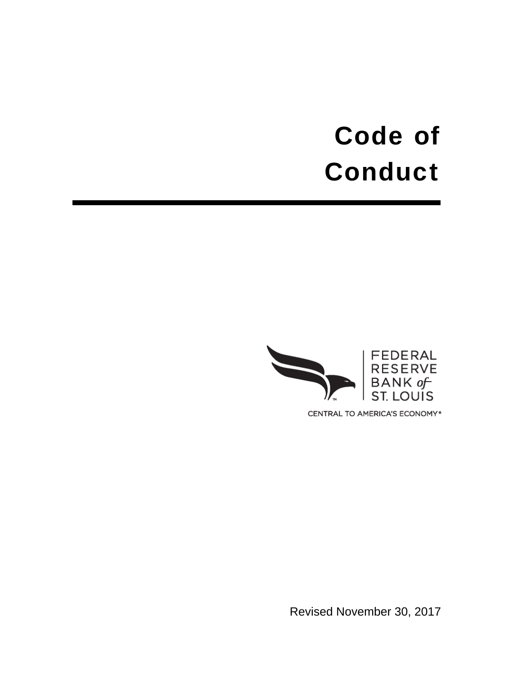# Code of Conduct



CENTRAL TO AMERICA'S ECONOMY®

Revised November 30, 2017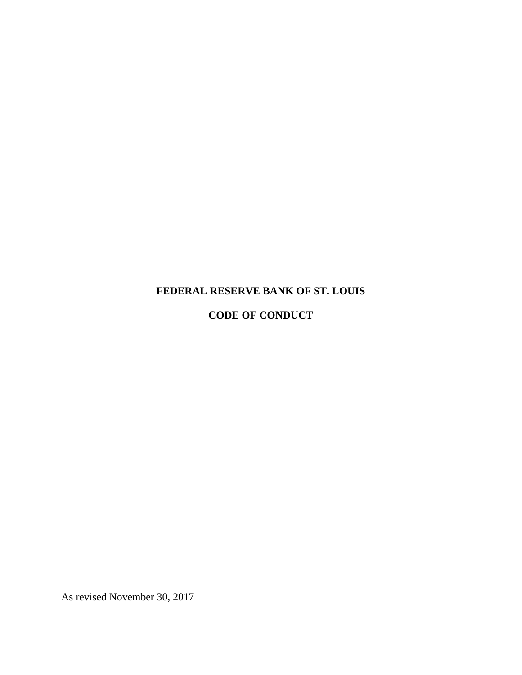# **FEDERAL RESERVE BANK OF ST. LOUIS**

**CODE OF CONDUCT**

As revised November 30, 2017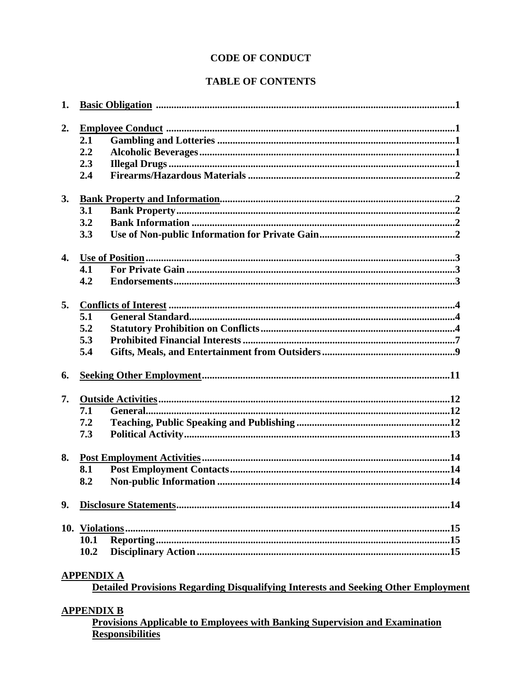# **CODE OF CONDUCT**

# **TABLE OF CONTENTS**

| 1.                                                                                                      |                          |
|---------------------------------------------------------------------------------------------------------|--------------------------|
| 2.                                                                                                      | 2.1<br>2.2<br>2.3<br>2.4 |
| 3.                                                                                                      | 3.1<br>3.2<br>3.3        |
| $\mathbf{4}$                                                                                            | 4.1<br>4.2               |
| 5.                                                                                                      | 5.1<br>5.2<br>5.3<br>5.4 |
| 6.                                                                                                      |                          |
| 7.                                                                                                      | 7.1<br>7.2<br>7.3        |
| 8.                                                                                                      | 8.1<br>8.2               |
| 9.                                                                                                      |                          |
|                                                                                                         | <b>10.1</b><br>10.2      |
| <b>APPENDIX A</b><br>Detailed Provisions Regarding Disqualifying Interests and Seeking Other Employment |                          |

**APPENDIX B**<br>**Provisions Applicable to Employees with Banking Supervision and Examination**<br>**Responsibilities**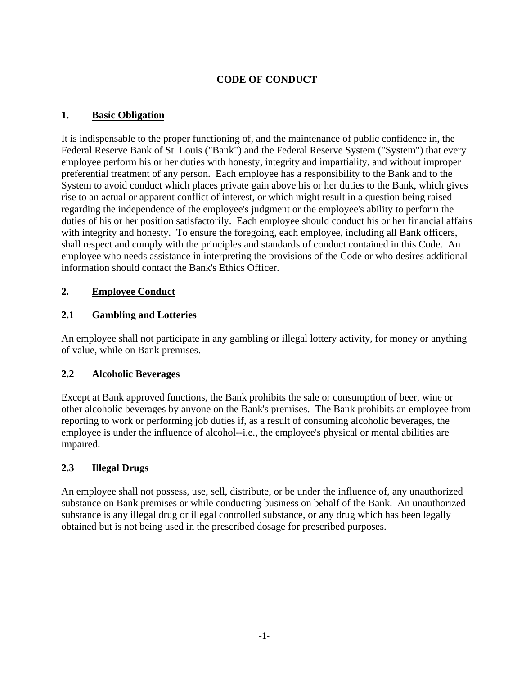# **CODE OF CONDUCT**

# **1. Basic Obligation**

It is indispensable to the proper functioning of, and the maintenance of public confidence in, the Federal Reserve Bank of St. Louis ("Bank") and the Federal Reserve System ("System") that every employee perform his or her duties with honesty, integrity and impartiality, and without improper preferential treatment of any person. Each employee has a responsibility to the Bank and to the System to avoid conduct which places private gain above his or her duties to the Bank, which gives rise to an actual or apparent conflict of interest, or which might result in a question being raised regarding the independence of the employee's judgment or the employee's ability to perform the duties of his or her position satisfactorily. Each employee should conduct his or her financial affairs with integrity and honesty. To ensure the foregoing, each employee, including all Bank officers, shall respect and comply with the principles and standards of conduct contained in this Code. An employee who needs assistance in interpreting the provisions of the Code or who desires additional information should contact the Bank's Ethics Officer.

# **2. Employee Conduct**

# **2.1 Gambling and Lotteries**

An employee shall not participate in any gambling or illegal lottery activity, for money or anything of value, while on Bank premises.

# **2.2 Alcoholic Beverages**

Except at Bank approved functions, the Bank prohibits the sale or consumption of beer, wine or other alcoholic beverages by anyone on the Bank's premises. The Bank prohibits an employee from reporting to work or performing job duties if, as a result of consuming alcoholic beverages, the employee is under the influence of alcohol--i.e., the employee's physical or mental abilities are impaired.

# **2.3 Illegal Drugs**

An employee shall not possess, use, sell, distribute, or be under the influence of, any unauthorized substance on Bank premises or while conducting business on behalf of the Bank. An unauthorized substance is any illegal drug or illegal controlled substance, or any drug which has been legally obtained but is not being used in the prescribed dosage for prescribed purposes.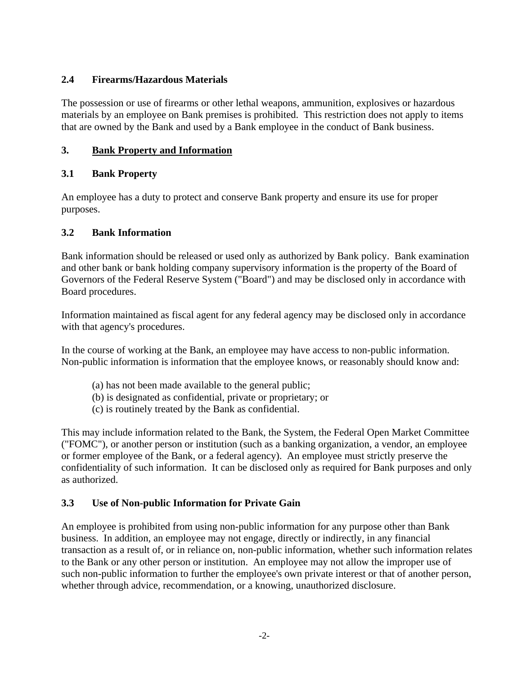# **2.4 Firearms/Hazardous Materials**

The possession or use of firearms or other lethal weapons, ammunition, explosives or hazardous materials by an employee on Bank premises is prohibited. This restriction does not apply to items that are owned by the Bank and used by a Bank employee in the conduct of Bank business.

# **3. Bank Property and Information**

# **3.1 Bank Property**

An employee has a duty to protect and conserve Bank property and ensure its use for proper purposes.

# **3.2 Bank Information**

Bank information should be released or used only as authorized by Bank policy. Bank examination and other bank or bank holding company supervisory information is the property of the Board of Governors of the Federal Reserve System ("Board") and may be disclosed only in accordance with Board procedures.

Information maintained as fiscal agent for any federal agency may be disclosed only in accordance with that agency's procedures.

In the course of working at the Bank, an employee may have access to non-public information. Non-public information is information that the employee knows, or reasonably should know and:

- (a) has not been made available to the general public;
- (b) is designated as confidential, private or proprietary; or
- (c) is routinely treated by the Bank as confidential.

This may include information related to the Bank, the System, the Federal Open Market Committee ("FOMC"), or another person or institution (such as a banking organization, a vendor, an employee or former employee of the Bank, or a federal agency). An employee must strictly preserve the confidentiality of such information. It can be disclosed only as required for Bank purposes and only as authorized.

# **3.3 Use of Non-public Information for Private Gain**

An employee is prohibited from using non-public information for any purpose other than Bank business. In addition, an employee may not engage, directly or indirectly, in any financial transaction as a result of, or in reliance on, non-public information, whether such information relates to the Bank or any other person or institution. An employee may not allow the improper use of such non-public information to further the employee's own private interest or that of another person, whether through advice, recommendation, or a knowing, unauthorized disclosure.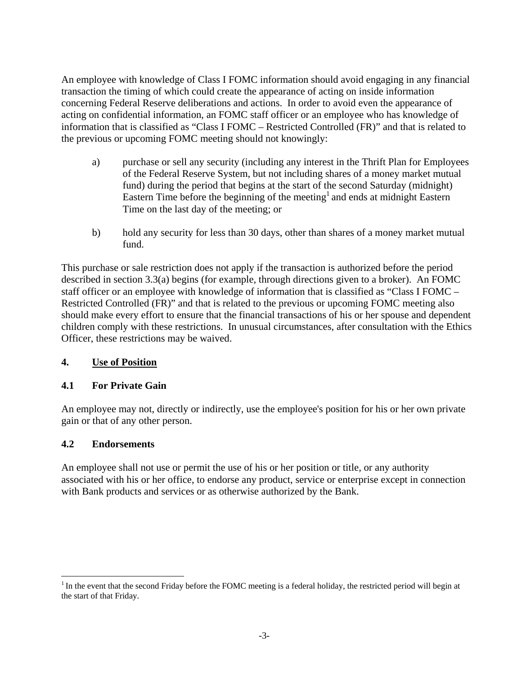An employee with knowledge of Class I FOMC information should avoid engaging in any financial transaction the timing of which could create the appearance of acting on inside information concerning Federal Reserve deliberations and actions. In order to avoid even the appearance of acting on confidential information, an FOMC staff officer or an employee who has knowledge of information that is classified as "Class I FOMC – Restricted Controlled (FR)" and that is related to the previous or upcoming FOMC meeting should not knowingly:

- a) purchase or sell any security (including any interest in the Thrift Plan for Employees of the Federal Reserve System, but not including shares of a money market mutual fund) during the period that begins at the start of the second Saturday (midnight) Eastern Time before the beginning of the meeting<sup>1</sup> and ends at midnight Eastern Time on the last day of the meeting; or
- b) hold any security for less than 30 days, other than shares of a money market mutual fund.

This purchase or sale restriction does not apply if the transaction is authorized before the period described in section 3.3(a) begins (for example, through directions given to a broker). An FOMC staff officer or an employee with knowledge of information that is classified as "Class I FOMC – Restricted Controlled (FR)" and that is related to the previous or upcoming FOMC meeting also should make every effort to ensure that the financial transactions of his or her spouse and dependent children comply with these restrictions. In unusual circumstances, after consultation with the Ethics Officer, these restrictions may be waived.

# **4. Use of Position**

# **4.1 For Private Gain**

An employee may not, directly or indirectly, use the employee's position for his or her own private gain or that of any other person.

# **4.2 Endorsements**

An employee shall not use or permit the use of his or her position or title, or any authority associated with his or her office, to endorse any product, service or enterprise except in connection with Bank products and services or as otherwise authorized by the Bank.

 $\overline{a}$  $1$ In the event that the second Friday before the FOMC meeting is a federal holiday, the restricted period will begin at the start of that Friday.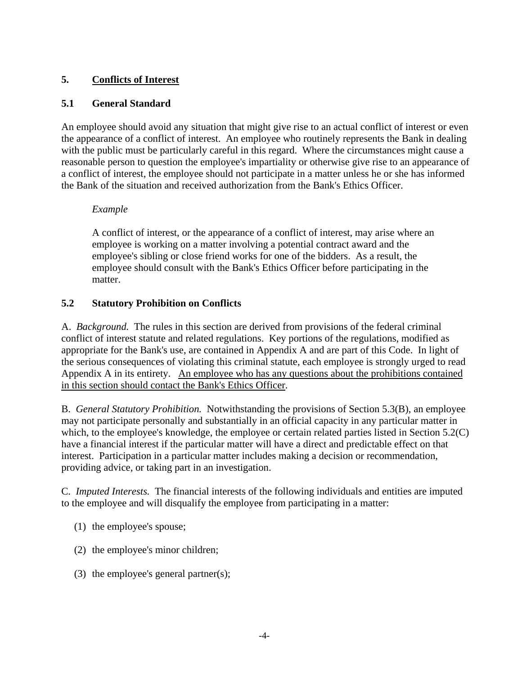# **5. Conflicts of Interest**

# **5.1 General Standard**

An employee should avoid any situation that might give rise to an actual conflict of interest or even the appearance of a conflict of interest. An employee who routinely represents the Bank in dealing with the public must be particularly careful in this regard. Where the circumstances might cause a reasonable person to question the employee's impartiality or otherwise give rise to an appearance of a conflict of interest, the employee should not participate in a matter unless he or she has informed the Bank of the situation and received authorization from the Bank's Ethics Officer.

# *Example*

A conflict of interest, or the appearance of a conflict of interest, may arise where an employee is working on a matter involving a potential contract award and the employee's sibling or close friend works for one of the bidders. As a result, the employee should consult with the Bank's Ethics Officer before participating in the matter.

# **5.2 Statutory Prohibition on Conflicts**

A. *Background.* The rules in this section are derived from provisions of the federal criminal conflict of interest statute and related regulations. Key portions of the regulations, modified as appropriate for the Bank's use, are contained in Appendix A and are part of this Code. In light of the serious consequences of violating this criminal statute, each employee is strongly urged to read Appendix A in its entirety. An employee who has any questions about the prohibitions contained in this section should contact the Bank's Ethics Officer.

B. *General Statutory Prohibition.* Notwithstanding the provisions of Section 5.3(B), an employee may not participate personally and substantially in an official capacity in any particular matter in which, to the employee's knowledge, the employee or certain related parties listed in Section 5.2(C) have a financial interest if the particular matter will have a direct and predictable effect on that interest. Participation in a particular matter includes making a decision or recommendation, providing advice, or taking part in an investigation.

C. *Imputed Interests.* The financial interests of the following individuals and entities are imputed to the employee and will disqualify the employee from participating in a matter:

- (1) the employee's spouse;
- (2) the employee's minor children;
- (3) the employee's general partner(s);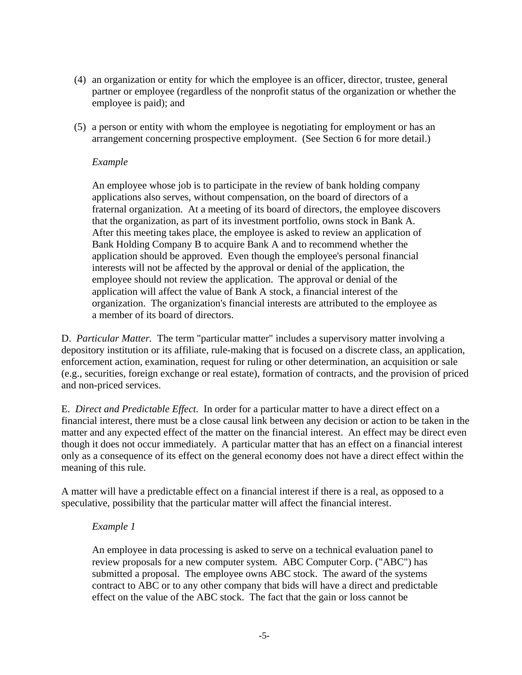- (4) an organization or entity for which the employee is an officer, director, trustee, general partner or employee (regardless of the nonprofit status of the organization or whether the employee is paid); and
- (5) a person or entity with whom the employee is negotiating for employment or has an arrangement concerning prospective employment. (See Section 6 for more detail.)

### *Example*

An employee whose job is to participate in the review of bank holding company applications also serves, without compensation, on the board of directors of a fraternal organization. At a meeting of its board of directors, the employee discovers that the organization, as part of its investment portfolio, owns stock in Bank A. After this meeting takes place, the employee is asked to review an application of Bank Holding Company B to acquire Bank A and to recommend whether the application should be approved. Even though the employee's personal financial interests will not be affected by the approval or denial of the application, the employee should not review the application. The approval or denial of the application will affect the value of Bank A stock, a financial interest of the organization. The organization's financial interests are attributed to the employee as a member of its board of directors.

D. *Particular Matter.* The term "particular matter" includes a supervisory matter involving a depository institution or its affiliate, rule-making that is focused on a discrete class, an application, enforcement action, examination, request for ruling or other determination, an acquisition or sale (e.g., securities, foreign exchange or real estate), formation of contracts, and the provision of priced and non-priced services.

E. *Direct and Predictable Effect.* In order for a particular matter to have a direct effect on a financial interest, there must be a close causal link between any decision or action to be taken in the matter and any expected effect of the matter on the financial interest. An effect may be direct even though it does not occur immediately. A particular matter that has an effect on a financial interest only as a consequence of its effect on the general economy does not have a direct effect within the meaning of this rule.

A matter will have a predictable effect on a financial interest if there is a real, as opposed to a speculative, possibility that the particular matter will affect the financial interest.

#### *Example 1*

An employee in data processing is asked to serve on a technical evaluation panel to review proposals for a new computer system. ABC Computer Corp. ("ABC") has submitted a proposal. The employee owns ABC stock. The award of the systems contract to ABC or to any other company that bids will have a direct and predictable effect on the value of the ABC stock. The fact that the gain or loss cannot be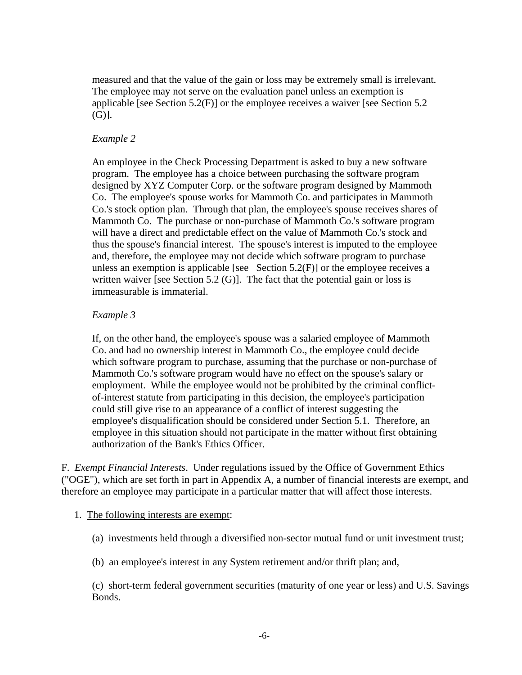measured and that the value of the gain or loss may be extremely small is irrelevant. The employee may not serve on the evaluation panel unless an exemption is applicable [see Section 5.2(F)] or the employee receives a waiver [see Section 5.2 (G)].

#### *Example 2*

An employee in the Check Processing Department is asked to buy a new software program. The employee has a choice between purchasing the software program designed by XYZ Computer Corp. or the software program designed by Mammoth Co. The employee's spouse works for Mammoth Co. and participates in Mammoth Co.'s stock option plan. Through that plan, the employee's spouse receives shares of Mammoth Co. The purchase or non-purchase of Mammoth Co.'s software program will have a direct and predictable effect on the value of Mammoth Co.'s stock and thus the spouse's financial interest. The spouse's interest is imputed to the employee and, therefore, the employee may not decide which software program to purchase unless an exemption is applicable [see Section  $5.2(F)$ ] or the employee receives a written waiver [see Section 5.2 (G)]. The fact that the potential gain or loss is immeasurable is immaterial.

### *Example 3*

If, on the other hand, the employee's spouse was a salaried employee of Mammoth Co. and had no ownership interest in Mammoth Co., the employee could decide which software program to purchase, assuming that the purchase or non-purchase of Mammoth Co.'s software program would have no effect on the spouse's salary or employment. While the employee would not be prohibited by the criminal conflictof-interest statute from participating in this decision, the employee's participation could still give rise to an appearance of a conflict of interest suggesting the employee's disqualification should be considered under Section 5.1. Therefore, an employee in this situation should not participate in the matter without first obtaining authorization of the Bank's Ethics Officer.

F. *Exempt Financial Interests*. Under regulations issued by the Office of Government Ethics ("OGE"), which are set forth in part in Appendix A, a number of financial interests are exempt, and therefore an employee may participate in a particular matter that will affect those interests.

# 1. The following interests are exempt:

- (a) investments held through a diversified non-sector mutual fund or unit investment trust;
- (b) an employee's interest in any System retirement and/or thrift plan; and,

(c) short-term federal government securities (maturity of one year or less) and U.S. Savings Bonds.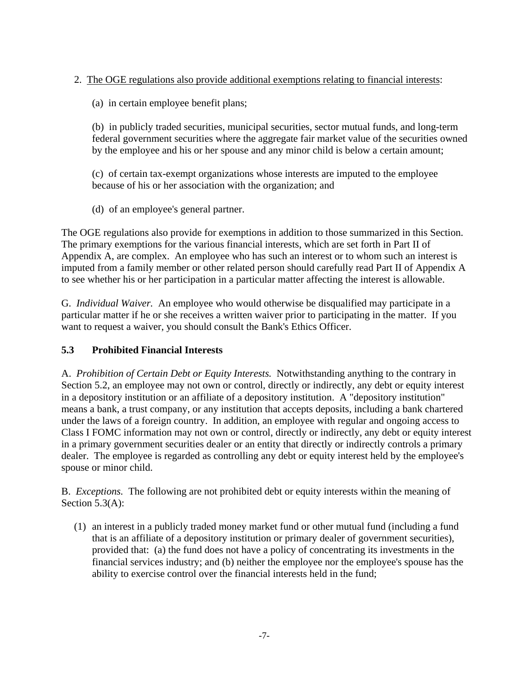# 2. The OGE regulations also provide additional exemptions relating to financial interests:

(a) in certain employee benefit plans;

(b) in publicly traded securities, municipal securities, sector mutual funds, and long-term federal government securities where the aggregate fair market value of the securities owned by the employee and his or her spouse and any minor child is below a certain amount;

(c) of certain tax-exempt organizations whose interests are imputed to the employee because of his or her association with the organization; and

(d) of an employee's general partner.

The OGE regulations also provide for exemptions in addition to those summarized in this Section. The primary exemptions for the various financial interests, which are set forth in Part II of Appendix A, are complex. An employee who has such an interest or to whom such an interest is imputed from a family member or other related person should carefully read Part II of Appendix A to see whether his or her participation in a particular matter affecting the interest is allowable.

G. *Individual Waiver.* An employee who would otherwise be disqualified may participate in a particular matter if he or she receives a written waiver prior to participating in the matter. If you want to request a waiver, you should consult the Bank's Ethics Officer.

# **5.3 Prohibited Financial Interests**

A. *Prohibition of Certain Debt or Equity Interests.* Notwithstanding anything to the contrary in Section 5.2, an employee may not own or control, directly or indirectly, any debt or equity interest in a depository institution or an affiliate of a depository institution. A "depository institution" means a bank, a trust company, or any institution that accepts deposits, including a bank chartered under the laws of a foreign country. In addition, an employee with regular and ongoing access to Class I FOMC information may not own or control, directly or indirectly, any debt or equity interest in a primary government securities dealer or an entity that directly or indirectly controls a primary dealer. The employee is regarded as controlling any debt or equity interest held by the employee's spouse or minor child.

B. *Exceptions.* The following are not prohibited debt or equity interests within the meaning of Section 5.3(A):

 (1) an interest in a publicly traded money market fund or other mutual fund (including a fund that is an affiliate of a depository institution or primary dealer of government securities), provided that: (a) the fund does not have a policy of concentrating its investments in the financial services industry; and (b) neither the employee nor the employee's spouse has the ability to exercise control over the financial interests held in the fund;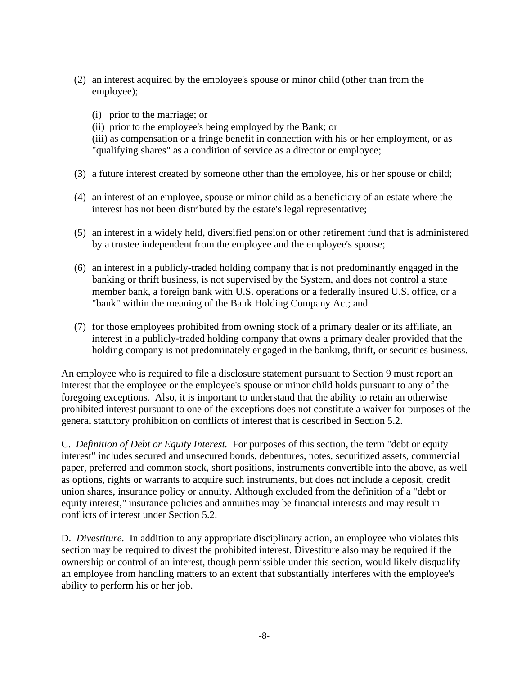- (2) an interest acquired by the employee's spouse or minor child (other than from the employee);
	- (i) prior to the marriage; or
	- (ii) prior to the employee's being employed by the Bank; or

(iii) as compensation or a fringe benefit in connection with his or her employment, or as "qualifying shares" as a condition of service as a director or employee;

- (3) a future interest created by someone other than the employee, his or her spouse or child;
- (4) an interest of an employee, spouse or minor child as a beneficiary of an estate where the interest has not been distributed by the estate's legal representative;
- (5) an interest in a widely held, diversified pension or other retirement fund that is administered by a trustee independent from the employee and the employee's spouse;
- (6) an interest in a publicly-traded holding company that is not predominantly engaged in the banking or thrift business, is not supervised by the System, and does not control a state member bank, a foreign bank with U.S. operations or a federally insured U.S. office, or a "bank" within the meaning of the Bank Holding Company Act; and
- (7) for those employees prohibited from owning stock of a primary dealer or its affiliate, an interest in a publicly-traded holding company that owns a primary dealer provided that the holding company is not predominately engaged in the banking, thrift, or securities business.

An employee who is required to file a disclosure statement pursuant to Section 9 must report an interest that the employee or the employee's spouse or minor child holds pursuant to any of the foregoing exceptions. Also, it is important to understand that the ability to retain an otherwise prohibited interest pursuant to one of the exceptions does not constitute a waiver for purposes of the general statutory prohibition on conflicts of interest that is described in Section 5.2.

C. *Definition of Debt or Equity Interest.* For purposes of this section, the term "debt or equity interest" includes secured and unsecured bonds, debentures, notes, securitized assets, commercial paper, preferred and common stock, short positions, instruments convertible into the above, as well as options, rights or warrants to acquire such instruments, but does not include a deposit, credit union shares, insurance policy or annuity. Although excluded from the definition of a "debt or equity interest," insurance policies and annuities may be financial interests and may result in conflicts of interest under Section 5.2.

D. *Divestiture.* In addition to any appropriate disciplinary action, an employee who violates this section may be required to divest the prohibited interest. Divestiture also may be required if the ownership or control of an interest, though permissible under this section, would likely disqualify an employee from handling matters to an extent that substantially interferes with the employee's ability to perform his or her job.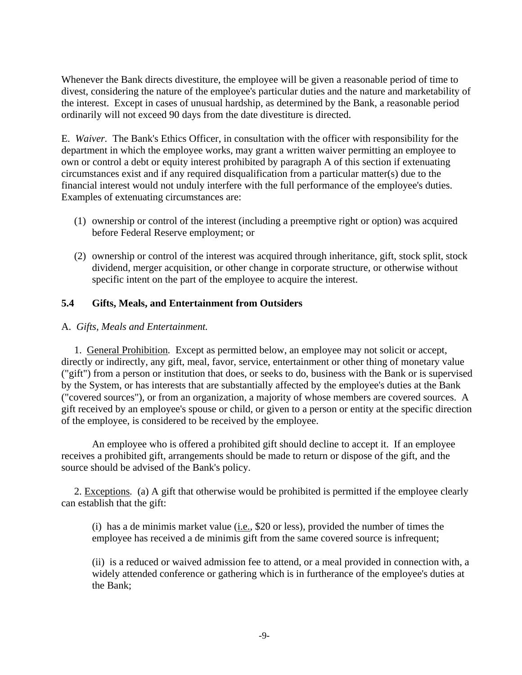Whenever the Bank directs divestiture, the employee will be given a reasonable period of time to divest, considering the nature of the employee's particular duties and the nature and marketability of the interest. Except in cases of unusual hardship, as determined by the Bank, a reasonable period ordinarily will not exceed 90 days from the date divestiture is directed.

E. *Waiver.* The Bank's Ethics Officer, in consultation with the officer with responsibility for the department in which the employee works, may grant a written waiver permitting an employee to own or control a debt or equity interest prohibited by paragraph A of this section if extenuating circumstances exist and if any required disqualification from a particular matter(s) due to the financial interest would not unduly interfere with the full performance of the employee's duties. Examples of extenuating circumstances are:

- (1) ownership or control of the interest (including a preemptive right or option) was acquired before Federal Reserve employment; or
- (2) ownership or control of the interest was acquired through inheritance, gift, stock split, stock dividend, merger acquisition, or other change in corporate structure, or otherwise without specific intent on the part of the employee to acquire the interest.

# **5.4 Gifts, Meals, and Entertainment from Outsiders**

#### A. *Gifts, Meals and Entertainment.*

 1. General Prohibition*.* Except as permitted below, an employee may not solicit or accept, directly or indirectly, any gift, meal, favor, service, entertainment or other thing of monetary value ("gift") from a person or institution that does, or seeks to do, business with the Bank or is supervised by the System, or has interests that are substantially affected by the employee's duties at the Bank ("covered sources"), or from an organization, a majority of whose members are covered sources. A gift received by an employee's spouse or child, or given to a person or entity at the specific direction of the employee, is considered to be received by the employee.

An employee who is offered a prohibited gift should decline to accept it. If an employee receives a prohibited gift, arrangements should be made to return or dispose of the gift, and the source should be advised of the Bank's policy.

 2. Exceptions*.* (a) A gift that otherwise would be prohibited is permitted if the employee clearly can establish that the gift:

(i) has a de minimis market value  $(i.e., $20 \text{ or less})$ , provided the number of times the employee has received a de minimis gift from the same covered source is infrequent;

(ii) is a reduced or waived admission fee to attend, or a meal provided in connection with, a widely attended conference or gathering which is in furtherance of the employee's duties at the Bank;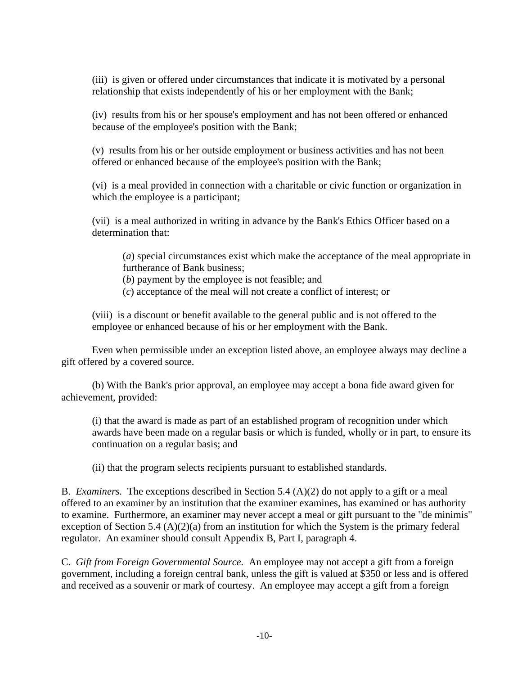(iii) is given or offered under circumstances that indicate it is motivated by a personal relationship that exists independently of his or her employment with the Bank;

(iv) results from his or her spouse's employment and has not been offered or enhanced because of the employee's position with the Bank;

(v) results from his or her outside employment or business activities and has not been offered or enhanced because of the employee's position with the Bank;

(vi) is a meal provided in connection with a charitable or civic function or organization in which the employee is a participant;

(vii) is a meal authorized in writing in advance by the Bank's Ethics Officer based on a determination that:

(*a*) special circumstances exist which make the acceptance of the meal appropriate in furtherance of Bank business;

(*b*) payment by the employee is not feasible; and

(*c*) acceptance of the meal will not create a conflict of interest; or

(viii) is a discount or benefit available to the general public and is not offered to the employee or enhanced because of his or her employment with the Bank.

Even when permissible under an exception listed above, an employee always may decline a gift offered by a covered source.

(b) With the Bank's prior approval, an employee may accept a bona fide award given for achievement, provided:

(i) that the award is made as part of an established program of recognition under which awards have been made on a regular basis or which is funded, wholly or in part, to ensure its continuation on a regular basis; and

(ii) that the program selects recipients pursuant to established standards.

B.*Examiners.* The exceptions described in Section 5.4 (A)(2) do not apply to a gift or a meal offered to an examiner by an institution that the examiner examines, has examined or has authority to examine. Furthermore, an examiner may never accept a meal or gift pursuant to the "de minimis" exception of Section 5.4 (A)(2)(a) from an institution for which the System is the primary federal regulator. An examiner should consult Appendix B, Part I, paragraph 4.

C. *Gift from Foreign Governmental Source.* An employee may not accept a gift from a foreign government, including a foreign central bank, unless the gift is valued at \$350 or less and is offered and received as a souvenir or mark of courtesy. An employee may accept a gift from a foreign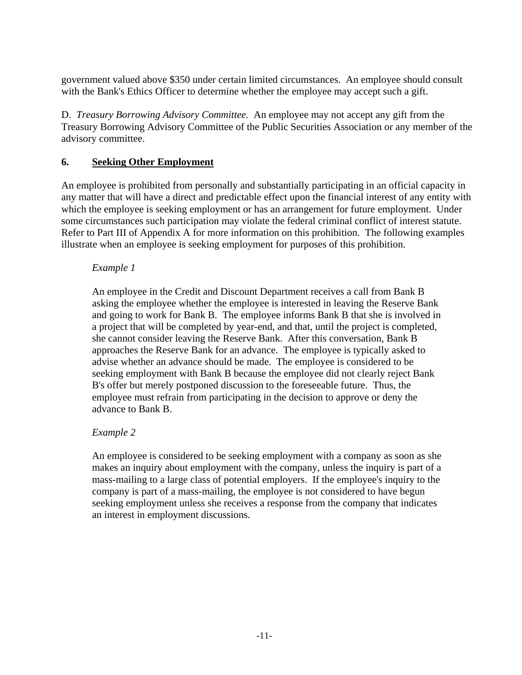government valued above \$350 under certain limited circumstances. An employee should consult with the Bank's Ethics Officer to determine whether the employee may accept such a gift.

D. *Treasury Borrowing Advisory Committee.* An employee may not accept any gift from the Treasury Borrowing Advisory Committee of the Public Securities Association or any member of the advisory committee.

# **6. Seeking Other Employment**

An employee is prohibited from personally and substantially participating in an official capacity in any matter that will have a direct and predictable effect upon the financial interest of any entity with which the employee is seeking employment or has an arrangement for future employment. Under some circumstances such participation may violate the federal criminal conflict of interest statute. Refer to Part III of Appendix A for more information on this prohibition. The following examples illustrate when an employee is seeking employment for purposes of this prohibition.

# *Example 1*

An employee in the Credit and Discount Department receives a call from Bank B asking the employee whether the employee is interested in leaving the Reserve Bank and going to work for Bank B. The employee informs Bank B that she is involved in a project that will be completed by year-end, and that, until the project is completed, she cannot consider leaving the Reserve Bank. After this conversation, Bank B approaches the Reserve Bank for an advance. The employee is typically asked to advise whether an advance should be made. The employee is considered to be seeking employment with Bank B because the employee did not clearly reject Bank B's offer but merely postponed discussion to the foreseeable future. Thus, the employee must refrain from participating in the decision to approve or deny the advance to Bank B.

# *Example 2*

An employee is considered to be seeking employment with a company as soon as she makes an inquiry about employment with the company, unless the inquiry is part of a mass-mailing to a large class of potential employers. If the employee's inquiry to the company is part of a mass-mailing, the employee is not considered to have begun seeking employment unless she receives a response from the company that indicates an interest in employment discussions.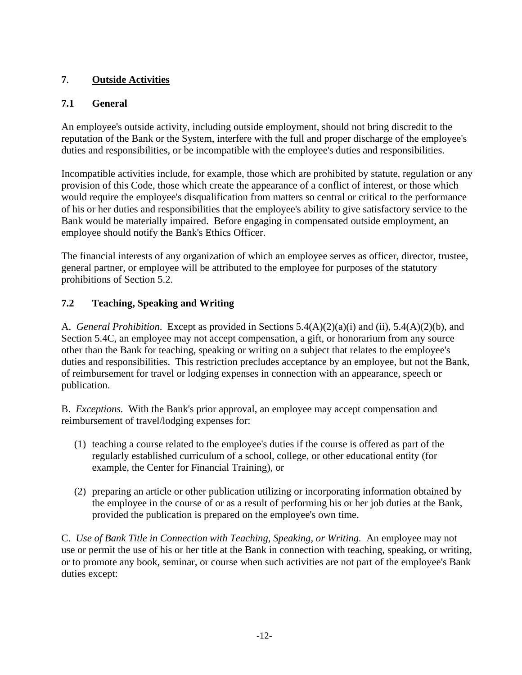# **7**. **Outside Activities**

# **7.1 General**

An employee's outside activity, including outside employment, should not bring discredit to the reputation of the Bank or the System, interfere with the full and proper discharge of the employee's duties and responsibilities, or be incompatible with the employee's duties and responsibilities.

Incompatible activities include, for example, those which are prohibited by statute, regulation or any provision of this Code, those which create the appearance of a conflict of interest, or those which would require the employee's disqualification from matters so central or critical to the performance of his or her duties and responsibilities that the employee's ability to give satisfactory service to the Bank would be materially impaired. Before engaging in compensated outside employment, an employee should notify the Bank's Ethics Officer.

The financial interests of any organization of which an employee serves as officer, director, trustee, general partner, or employee will be attributed to the employee for purposes of the statutory prohibitions of Section 5.2.

# **7.2 Teaching, Speaking and Writing**

A. *General Prohibition*. Except as provided in Sections 5.4(A)(2)(a)(i) and (ii), 5.4(A)(2)(b), and Section 5.4C, an employee may not accept compensation, a gift, or honorarium from any source other than the Bank for teaching, speaking or writing on a subject that relates to the employee's duties and responsibilities. This restriction precludes acceptance by an employee, but not the Bank, of reimbursement for travel or lodging expenses in connection with an appearance, speech or publication.

B. *Exceptions.* With the Bank's prior approval, an employee may accept compensation and reimbursement of travel/lodging expenses for:

- (1) teaching a course related to the employee's duties if the course is offered as part of the regularly established curriculum of a school, college, or other educational entity (for example, the Center for Financial Training), or
- (2) preparing an article or other publication utilizing or incorporating information obtained by the employee in the course of or as a result of performing his or her job duties at the Bank, provided the publication is prepared on the employee's own time.

C. *Use of Bank Title in Connection with Teaching, Speaking, or Writing.* An employee may not use or permit the use of his or her title at the Bank in connection with teaching, speaking, or writing, or to promote any book, seminar, or course when such activities are not part of the employee's Bank duties except: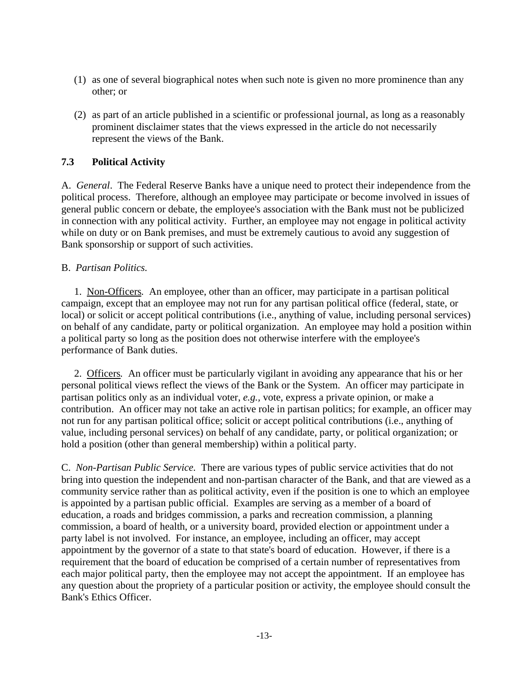- (1) as one of several biographical notes when such note is given no more prominence than any other; or
- (2) as part of an article published in a scientific or professional journal, as long as a reasonably prominent disclaimer states that the views expressed in the article do not necessarily represent the views of the Bank.

# **7.3 Political Activity**

A. *General*. The Federal Reserve Banks have a unique need to protect their independence from the political process. Therefore, although an employee may participate or become involved in issues of general public concern or debate, the employee's association with the Bank must not be publicized in connection with any political activity. Further, an employee may not engage in political activity while on duty or on Bank premises, and must be extremely cautious to avoid any suggestion of Bank sponsorship or support of such activities.

# B. *Partisan Politics.*

 1. Non-Officers*.* An employee, other than an officer, may participate in a partisan political campaign, except that an employee may not run for any partisan political office (federal, state, or local) or solicit or accept political contributions (i.e., anything of value, including personal services) on behalf of any candidate, party or political organization. An employee may hold a position within a political party so long as the position does not otherwise interfere with the employee's performance of Bank duties.

 2. Officers*.* An officer must be particularly vigilant in avoiding any appearance that his or her personal political views reflect the views of the Bank or the System. An officer may participate in partisan politics only as an individual voter, *e.g.,* vote, express a private opinion, or make a contribution. An officer may not take an active role in partisan politics; for example, an officer may not run for any partisan political office; solicit or accept political contributions (i.e., anything of value, including personal services) on behalf of any candidate, party, or political organization; or hold a position (other than general membership) within a political party.

C. *Non-Partisan Public Service.* There are various types of public service activities that do not bring into question the independent and non-partisan character of the Bank, and that are viewed as a community service rather than as political activity, even if the position is one to which an employee is appointed by a partisan public official. Examples are serving as a member of a board of education, a roads and bridges commission, a parks and recreation commission, a planning commission, a board of health, or a university board, provided election or appointment under a party label is not involved. For instance, an employee, including an officer, may accept appointment by the governor of a state to that state's board of education. However, if there is a requirement that the board of education be comprised of a certain number of representatives from each major political party, then the employee may not accept the appointment. If an employee has any question about the propriety of a particular position or activity, the employee should consult the Bank's Ethics Officer.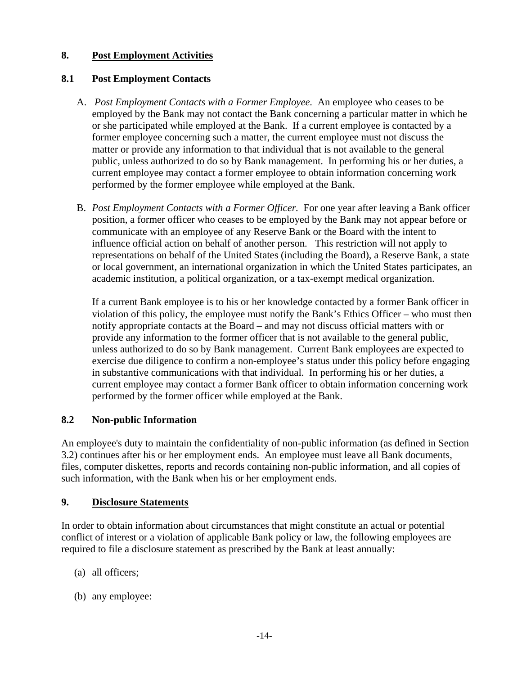# **8. Post Employment Activities**

# **8.1 Post Employment Contacts**

- A. *Post Employment Contacts with a Former Employee.* An employee who ceases to be employed by the Bank may not contact the Bank concerning a particular matter in which he or she participated while employed at the Bank. If a current employee is contacted by a former employee concerning such a matter, the current employee must not discuss the matter or provide any information to that individual that is not available to the general public, unless authorized to do so by Bank management. In performing his or her duties, a current employee may contact a former employee to obtain information concerning work performed by the former employee while employed at the Bank.
- B. *Post Employment Contacts with a Former Officer.* For one year after leaving a Bank officer position, a former officer who ceases to be employed by the Bank may not appear before or communicate with an employee of any Reserve Bank or the Board with the intent to influence official action on behalf of another person. This restriction will not apply to representations on behalf of the United States (including the Board), a Reserve Bank, a state or local government, an international organization in which the United States participates, an academic institution, a political organization, or a tax-exempt medical organization.

If a current Bank employee is to his or her knowledge contacted by a former Bank officer in violation of this policy, the employee must notify the Bank's Ethics Officer – who must then notify appropriate contacts at the Board – and may not discuss official matters with or provide any information to the former officer that is not available to the general public, unless authorized to do so by Bank management. Current Bank employees are expected to exercise due diligence to confirm a non-employee's status under this policy before engaging in substantive communications with that individual. In performing his or her duties, a current employee may contact a former Bank officer to obtain information concerning work performed by the former officer while employed at the Bank.

# **8.2 Non-public Information**

An employee's duty to maintain the confidentiality of non-public information (as defined in Section 3.2) continues after his or her employment ends. An employee must leave all Bank documents, files, computer diskettes, reports and records containing non-public information, and all copies of such information, with the Bank when his or her employment ends.

#### **9. Disclosure Statements**

In order to obtain information about circumstances that might constitute an actual or potential conflict of interest or a violation of applicable Bank policy or law, the following employees are required to file a disclosure statement as prescribed by the Bank at least annually:

- (a) all officers;
- (b) any employee: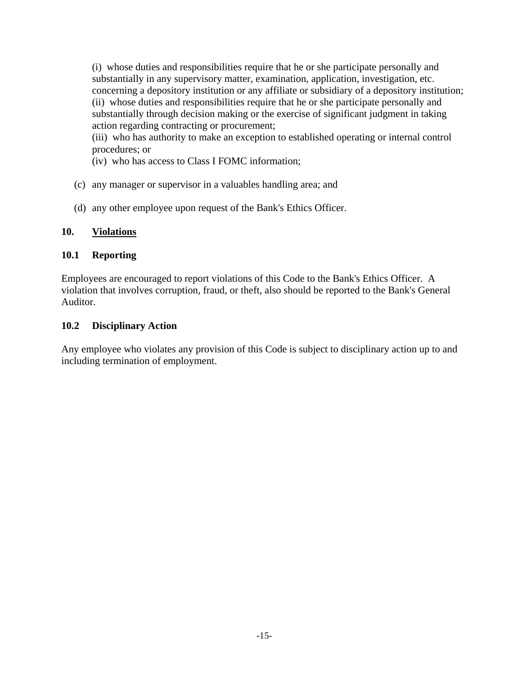(i) whose duties and responsibilities require that he or she participate personally and substantially in any supervisory matter, examination, application, investigation, etc. concerning a depository institution or any affiliate or subsidiary of a depository institution; (ii) whose duties and responsibilities require that he or she participate personally and substantially through decision making or the exercise of significant judgment in taking action regarding contracting or procurement;

(iii) who has authority to make an exception to established operating or internal control procedures; or

- (iv) who has access to Class I FOMC information;
- (c) any manager or supervisor in a valuables handling area; and
- (d) any other employee upon request of the Bank's Ethics Officer.

### **10. Violations**

### **10.1 Reporting**

Employees are encouraged to report violations of this Code to the Bank's Ethics Officer. A violation that involves corruption, fraud, or theft, also should be reported to the Bank's General Auditor.

### **10.2 Disciplinary Action**

Any employee who violates any provision of this Code is subject to disciplinary action up to and including termination of employment.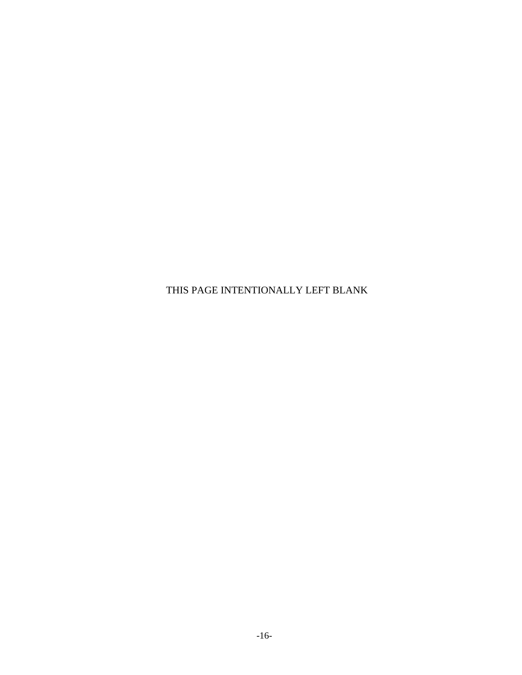THIS PAGE INTENTIONALLY LEFT BLANK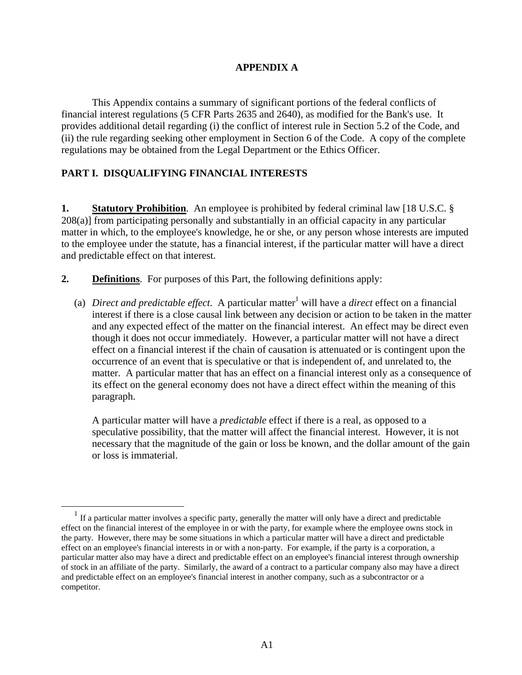# **APPENDIX A**

This Appendix contains a summary of significant portions of the federal conflicts of financial interest regulations (5 CFR Parts 2635 and 2640), as modified for the Bank's use. It provides additional detail regarding (i) the conflict of interest rule in Section 5.2 of the Code, and (ii) the rule regarding seeking other employment in Section 6 of the Code. A copy of the complete regulations may be obtained from the Legal Department or the Ethics Officer.

# **PART I. DISQUALIFYING FINANCIAL INTERESTS**

 $\overline{a}$ 

**1. Statutory Prohibition**. An employee is prohibited by federal criminal law [18 U.S.C. § 208(a)] from participating personally and substantially in an official capacity in any particular matter in which, to the employee's knowledge, he or she, or any person whose interests are imputed to the employee under the statute, has a financial interest, if the particular matter will have a direct and predictable effect on that interest.

- **2. Definitions**. For purposes of this Part, the following definitions apply:
- (a) *Direct and predictable effect*. A particular matter<sup>1</sup> will have a *direct* effect on a financial interest if there is a close causal link between any decision or action to be taken in the matter and any expected effect of the matter on the financial interest. An effect may be direct even though it does not occur immediately. However, a particular matter will not have a direct effect on a financial interest if the chain of causation is attenuated or is contingent upon the occurrence of an event that is speculative or that is independent of, and unrelated to, the matter. A particular matter that has an effect on a financial interest only as a consequence of its effect on the general economy does not have a direct effect within the meaning of this paragraph.

A particular matter will have a *predictable* effect if there is a real, as opposed to a speculative possibility, that the matter will affect the financial interest. However, it is not necessary that the magnitude of the gain or loss be known, and the dollar amount of the gain or loss is immaterial.

 $1$  If a particular matter involves a specific party, generally the matter will only have a direct and predictable effect on the financial interest of the employee in or with the party, for example where the employee owns stock in the party. However, there may be some situations in which a particular matter will have a direct and predictable effect on an employee's financial interests in or with a non-party. For example, if the party is a corporation, a particular matter also may have a direct and predictable effect on an employee's financial interest through ownership of stock in an affiliate of the party. Similarly, the award of a contract to a particular company also may have a direct and predictable effect on an employee's financial interest in another company, such as a subcontractor or a competitor.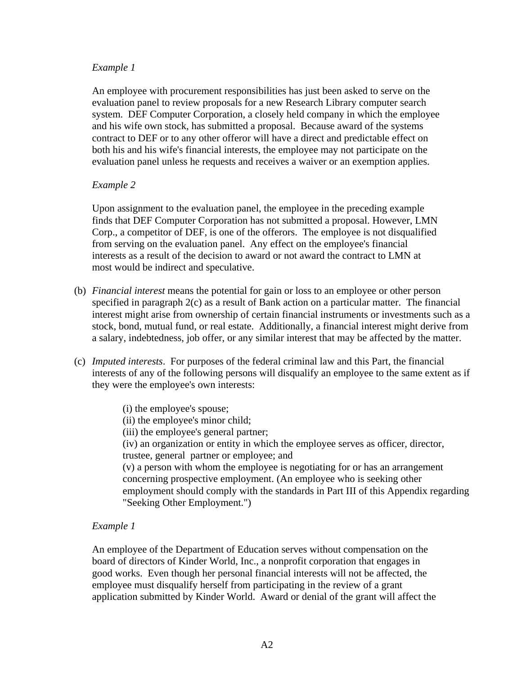#### *Example 1*

An employee with procurement responsibilities has just been asked to serve on the evaluation panel to review proposals for a new Research Library computer search system. DEF Computer Corporation, a closely held company in which the employee and his wife own stock, has submitted a proposal. Because award of the systems contract to DEF or to any other offeror will have a direct and predictable effect on both his and his wife's financial interests, the employee may not participate on the evaluation panel unless he requests and receives a waiver or an exemption applies.

#### *Example 2*

Upon assignment to the evaluation panel, the employee in the preceding example finds that DEF Computer Corporation has not submitted a proposal. However, LMN Corp., a competitor of DEF, is one of the offerors. The employee is not disqualified from serving on the evaluation panel. Any effect on the employee's financial interests as a result of the decision to award or not award the contract to LMN at most would be indirect and speculative.

- (b) *Financial interest* means the potential for gain or loss to an employee or other person specified in paragraph 2(c) as a result of Bank action on a particular matter. The financial interest might arise from ownership of certain financial instruments or investments such as a stock, bond, mutual fund, or real estate. Additionally, a financial interest might derive from a salary, indebtedness, job offer, or any similar interest that may be affected by the matter.
- (c) *Imputed interests*. For purposes of the federal criminal law and this Part, the financial interests of any of the following persons will disqualify an employee to the same extent as if they were the employee's own interests:

(i) the employee's spouse;

- (ii) the employee's minor child;
- (iii) the employee's general partner;

(iv) an organization or entity in which the employee serves as officer, director, trustee, general partner or employee; and

 (v) a person with whom the employee is negotiating for or has an arrangement concerning prospective employment. (An employee who is seeking other employment should comply with the standards in Part III of this Appendix regarding "Seeking Other Employment.")

#### *Example 1*

An employee of the Department of Education serves without compensation on the board of directors of Kinder World, Inc., a nonprofit corporation that engages in good works. Even though her personal financial interests will not be affected, the employee must disqualify herself from participating in the review of a grant application submitted by Kinder World. Award or denial of the grant will affect the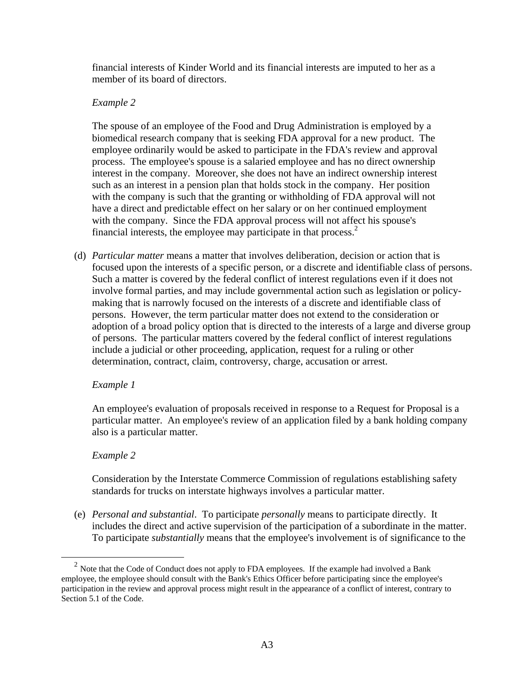financial interests of Kinder World and its financial interests are imputed to her as a member of its board of directors.

# *Example 2*

The spouse of an employee of the Food and Drug Administration is employed by a biomedical research company that is seeking FDA approval for a new product. The employee ordinarily would be asked to participate in the FDA's review and approval process. The employee's spouse is a salaried employee and has no direct ownership interest in the company. Moreover, she does not have an indirect ownership interest such as an interest in a pension plan that holds stock in the company. Her position with the company is such that the granting or withholding of FDA approval will not have a direct and predictable effect on her salary or on her continued employment with the company. Since the FDA approval process will not affect his spouse's financial interests, the employee may participate in that process.<sup>2</sup>

 (d) *Particular matter* means a matter that involves deliberation, decision or action that is focused upon the interests of a specific person, or a discrete and identifiable class of persons. Such a matter is covered by the federal conflict of interest regulations even if it does not involve formal parties, and may include governmental action such as legislation or policymaking that is narrowly focused on the interests of a discrete and identifiable class of persons. However, the term particular matter does not extend to the consideration or adoption of a broad policy option that is directed to the interests of a large and diverse group of persons. The particular matters covered by the federal conflict of interest regulations include a judicial or other proceeding, application, request for a ruling or other determination, contract, claim, controversy, charge, accusation or arrest.

#### *Example 1*

An employee's evaluation of proposals received in response to a Request for Proposal is a particular matter. An employee's review of an application filed by a bank holding company also is a particular matter.

# *Example 2*

 $\overline{a}$ 

Consideration by the Interstate Commerce Commission of regulations establishing safety standards for trucks on interstate highways involves a particular matter.

 (e) *Personal and substantial*. To participate *personally* means to participate directly. It includes the direct and active supervision of the participation of a subordinate in the matter. To participate *substantially* means that the employee's involvement is of significance to the

 $2$  Note that the Code of Conduct does not apply to FDA employees. If the example had involved a Bank employee, the employee should consult with the Bank's Ethics Officer before participating since the employee's participation in the review and approval process might result in the appearance of a conflict of interest, contrary to Section 5.1 of the Code.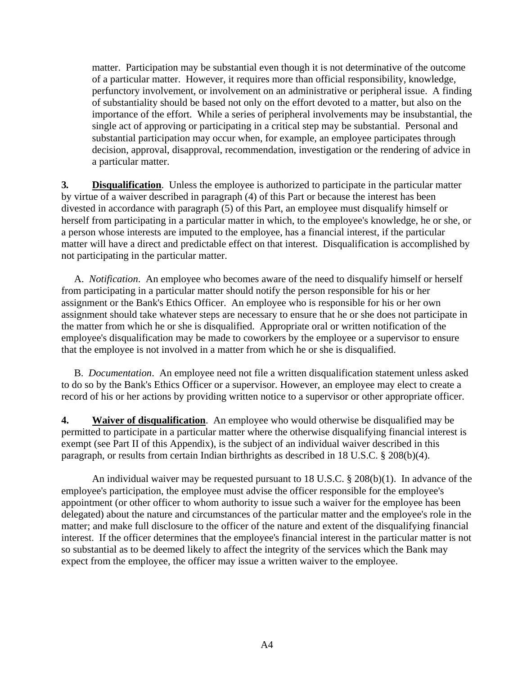matter. Participation may be substantial even though it is not determinative of the outcome of a particular matter. However, it requires more than official responsibility, knowledge, perfunctory involvement, or involvement on an administrative or peripheral issue. A finding of substantiality should be based not only on the effort devoted to a matter, but also on the importance of the effort. While a series of peripheral involvements may be insubstantial, the single act of approving or participating in a critical step may be substantial. Personal and substantial participation may occur when, for example, an employee participates through decision, approval, disapproval, recommendation, investigation or the rendering of advice in a particular matter.

**3***.* **Disqualification**. Unless the employee is authorized to participate in the particular matter by virtue of a waiver described in paragraph (4) of this Part or because the interest has been divested in accordance with paragraph (5) of this Part, an employee must disqualify himself or herself from participating in a particular matter in which, to the employee's knowledge, he or she, or a person whose interests are imputed to the employee, has a financial interest, if the particular matter will have a direct and predictable effect on that interest. Disqualification is accomplished by not participating in the particular matter.

 A. *Notification*. An employee who becomes aware of the need to disqualify himself or herself from participating in a particular matter should notify the person responsible for his or her assignment or the Bank's Ethics Officer. An employee who is responsible for his or her own assignment should take whatever steps are necessary to ensure that he or she does not participate in the matter from which he or she is disqualified. Appropriate oral or written notification of the employee's disqualification may be made to coworkers by the employee or a supervisor to ensure that the employee is not involved in a matter from which he or she is disqualified.

 B. *Documentation*. An employee need not file a written disqualification statement unless asked to do so by the Bank's Ethics Officer or a supervisor. However, an employee may elect to create a record of his or her actions by providing written notice to a supervisor or other appropriate officer.

**4. Waiver of disqualification**. An employee who would otherwise be disqualified may be permitted to participate in a particular matter where the otherwise disqualifying financial interest is exempt (see Part II of this Appendix), is the subject of an individual waiver described in this paragraph, or results from certain Indian birthrights as described in 18 U.S.C. § 208(b)(4).

 An individual waiver may be requested pursuant to 18 U.S.C. § 208(b)(1). In advance of the employee's participation, the employee must advise the officer responsible for the employee's appointment (or other officer to whom authority to issue such a waiver for the employee has been delegated) about the nature and circumstances of the particular matter and the employee's role in the matter; and make full disclosure to the officer of the nature and extent of the disqualifying financial interest. If the officer determines that the employee's financial interest in the particular matter is not so substantial as to be deemed likely to affect the integrity of the services which the Bank may expect from the employee, the officer may issue a written waiver to the employee.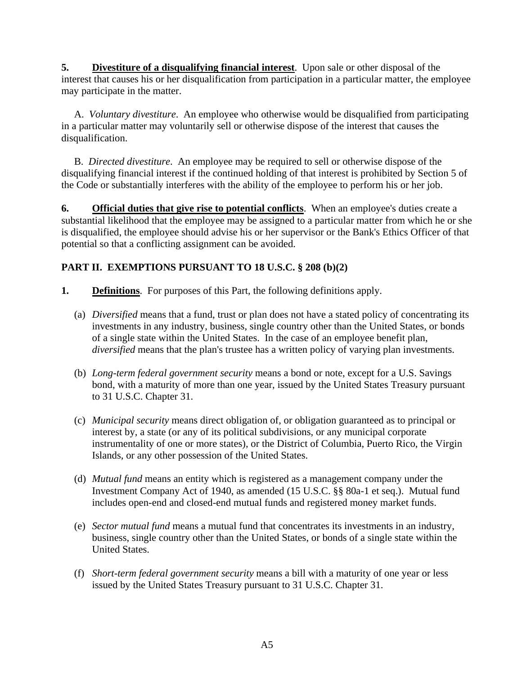**5. Divestiture of a disqualifying financial interest**. Upon sale or other disposal of the interest that causes his or her disqualification from participation in a particular matter, the employee may participate in the matter.

 A. *Voluntary divestiture*. An employee who otherwise would be disqualified from participating in a particular matter may voluntarily sell or otherwise dispose of the interest that causes the disqualification.

 B. *Directed divestiture*. An employee may be required to sell or otherwise dispose of the disqualifying financial interest if the continued holding of that interest is prohibited by Section 5 of the Code or substantially interferes with the ability of the employee to perform his or her job.

**6. Official duties that give rise to potential conflicts**.When an employee's duties create a substantial likelihood that the employee may be assigned to a particular matter from which he or she is disqualified, the employee should advise his or her supervisor or the Bank's Ethics Officer of that potential so that a conflicting assignment can be avoided.

# **PART II. EXEMPTIONS PURSUANT TO 18 U.S.C. § 208 (b)(2)**

- **1. Definitions**. For purposes of this Part, the following definitions apply.
	- (a) *Diversified* means that a fund, trust or plan does not have a stated policy of concentrating its investments in any industry, business, single country other than the United States, or bonds of a single state within the United States. In the case of an employee benefit plan, *diversified* means that the plan's trustee has a written policy of varying plan investments.
	- (b) *Long-term federal government security* means a bond or note, except for a U.S. Savings bond, with a maturity of more than one year, issued by the United States Treasury pursuant to 31 U.S.C. Chapter 31.
	- (c) *Municipal security* means direct obligation of, or obligation guaranteed as to principal or interest by, a state (or any of its political subdivisions, or any municipal corporate instrumentality of one or more states), or the District of Columbia, Puerto Rico, the Virgin Islands, or any other possession of the United States.
	- (d) *Mutual fund* means an entity which is registered as a management company under the Investment Company Act of 1940, as amended (15 U.S.C. §§ 80a-1 et seq.). Mutual fund includes open-end and closed-end mutual funds and registered money market funds.
	- (e) *Sector mutual fund* means a mutual fund that concentrates its investments in an industry, business, single country other than the United States, or bonds of a single state within the United States.
	- (f) *Short-term federal government security* means a bill with a maturity of one year or less issued by the United States Treasury pursuant to 31 U.S.C. Chapter 31.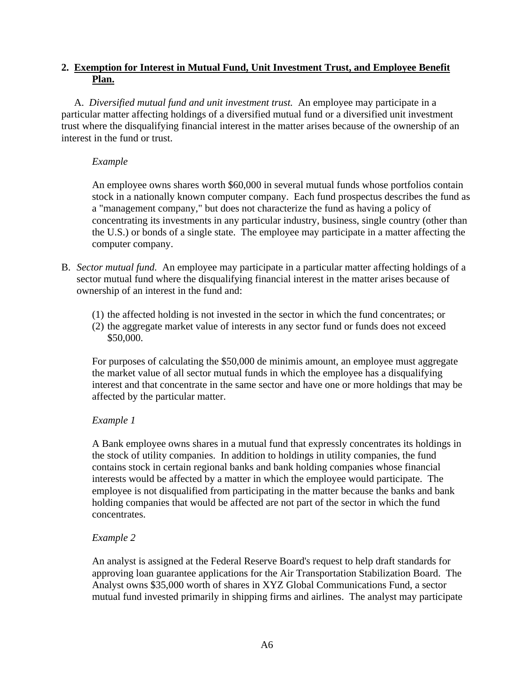# **2. Exemption for Interest in Mutual Fund, Unit Investment Trust, and Employee Benefit Plan.**

 A. *Diversified mutual fund and unit investment trust.* An employee may participate in a particular matter affecting holdings of a diversified mutual fund or a diversified unit investment trust where the disqualifying financial interest in the matter arises because of the ownership of an interest in the fund or trust.

# *Example*

An employee owns shares worth \$60,000 in several mutual funds whose portfolios contain stock in a nationally known computer company. Each fund prospectus describes the fund as a "management company," but does not characterize the fund as having a policy of concentrating its investments in any particular industry, business, single country (other than the U.S.) or bonds of a single state. The employee may participate in a matter affecting the computer company.

- B. *Sector mutual fund.* An employee may participate in a particular matter affecting holdings of a sector mutual fund where the disqualifying financial interest in the matter arises because of ownership of an interest in the fund and:
	- (1) the affected holding is not invested in the sector in which the fund concentrates; or
	- (2) the aggregate market value of interests in any sector fund or funds does not exceed \$50,000.

 For purposes of calculating the \$50,000 de minimis amount, an employee must aggregate the market value of all sector mutual funds in which the employee has a disqualifying interest and that concentrate in the same sector and have one or more holdings that may be affected by the particular matter.

# *Example 1*

A Bank employee owns shares in a mutual fund that expressly concentrates its holdings in the stock of utility companies. In addition to holdings in utility companies, the fund contains stock in certain regional banks and bank holding companies whose financial interests would be affected by a matter in which the employee would participate. The employee is not disqualified from participating in the matter because the banks and bank holding companies that would be affected are not part of the sector in which the fund concentrates.

# *Example 2*

 An analyst is assigned at the Federal Reserve Board's request to help draft standards for approving loan guarantee applications for the Air Transportation Stabilization Board. The Analyst owns \$35,000 worth of shares in XYZ Global Communications Fund, a sector mutual fund invested primarily in shipping firms and airlines. The analyst may participate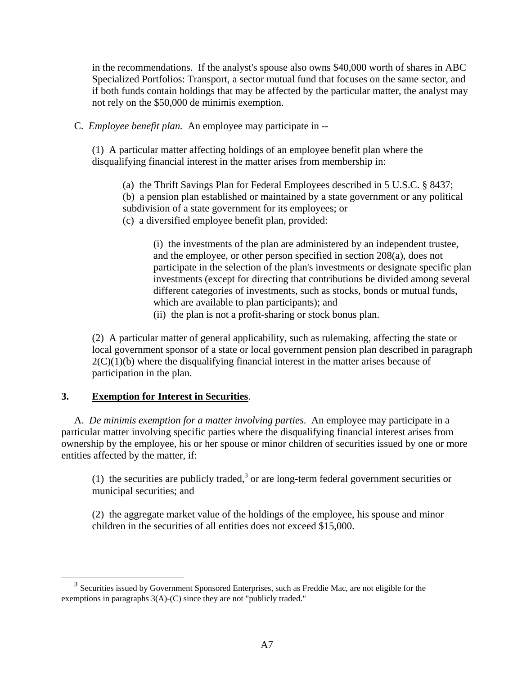in the recommendations. If the analyst's spouse also owns \$40,000 worth of shares in ABC Specialized Portfolios: Transport, a sector mutual fund that focuses on the same sector, and if both funds contain holdings that may be affected by the particular matter, the analyst may not rely on the \$50,000 de minimis exemption.

C. *Employee benefit plan.* An employee may participate in --

(1) A particular matter affecting holdings of an employee benefit plan where the disqualifying financial interest in the matter arises from membership in:

(a) the Thrift Savings Plan for Federal Employees described in 5 U.S.C. § 8437; (b) a pension plan established or maintained by a state government or any political subdivision of a state government for its employees; or (c) a diversified employee benefit plan, provided:

(i) the investments of the plan are administered by an independent trustee, and the employee, or other person specified in section 208(a), does not participate in the selection of the plan's investments or designate specific plan investments (except for directing that contributions be divided among several different categories of investments, such as stocks, bonds or mutual funds, which are available to plan participants); and

(ii) the plan is not a profit-sharing or stock bonus plan.

(2) A particular matter of general applicability, such as rulemaking, affecting the state or local government sponsor of a state or local government pension plan described in paragraph  $2(C)(1)(b)$  where the disqualifying financial interest in the matter arises because of participation in the plan.

#### **3. Exemption for Interest in Securities**.

 $\overline{a}$ 

 A. *De minimis exemption for a matter involving parties*. An employee may participate in a particular matter involving specific parties where the disqualifying financial interest arises from ownership by the employee, his or her spouse or minor children of securities issued by one or more entities affected by the matter, if:

(1) the securities are publicly traded,<sup>3</sup> or are long-term federal government securities or municipal securities; and

(2) the aggregate market value of the holdings of the employee, his spouse and minor children in the securities of all entities does not exceed \$15,000.

<sup>&</sup>lt;sup>3</sup> Securities issued by Government Sponsored Enterprises, such as Freddie Mac, are not eligible for the exemptions in paragraphs 3(A)-(C) since they are not "publicly traded."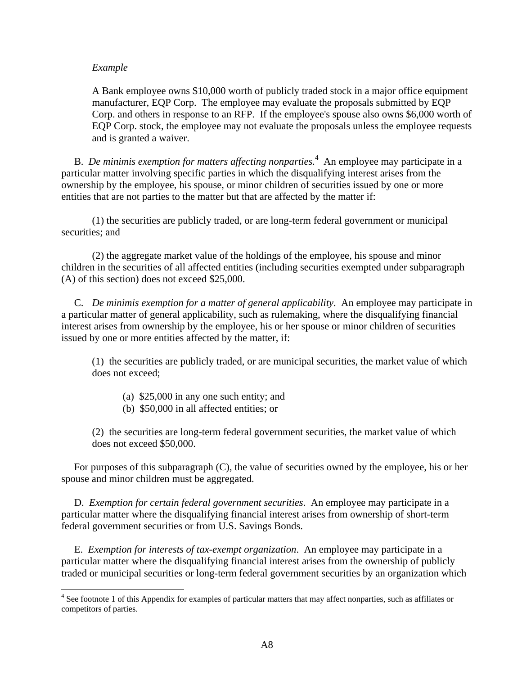#### *Example*

1

A Bank employee owns \$10,000 worth of publicly traded stock in a major office equipment manufacturer, EQP Corp. The employee may evaluate the proposals submitted by EQP Corp. and others in response to an RFP. If the employee's spouse also owns \$6,000 worth of EQP Corp. stock, the employee may not evaluate the proposals unless the employee requests and is granted a waiver.

 B. *De minimis exemption for matters affecting nonparties.*<sup>4</sup> An employee may participate in a particular matter involving specific parties in which the disqualifying interest arises from the ownership by the employee, his spouse, or minor children of securities issued by one or more entities that are not parties to the matter but that are affected by the matter if:

 (1) the securities are publicly traded, or are long-term federal government or municipal securities; and

 (2) the aggregate market value of the holdings of the employee, his spouse and minor children in the securities of all affected entities (including securities exempted under subparagraph (A) of this section) does not exceed \$25,000.

 C. *De minimis exemption for a matter of general applicability*. An employee may participate in a particular matter of general applicability, such as rulemaking, where the disqualifying financial interest arises from ownership by the employee, his or her spouse or minor children of securities issued by one or more entities affected by the matter, if:

 (1) the securities are publicly traded, or are municipal securities, the market value of which does not exceed;

- (a) \$25,000 in any one such entity; and
- (b) \$50,000 in all affected entities; or

 (2) the securities are long-term federal government securities, the market value of which does not exceed \$50,000.

 For purposes of this subparagraph (C), the value of securities owned by the employee, his or her spouse and minor children must be aggregated.

 D. *Exemption for certain federal government securities*. An employee may participate in a particular matter where the disqualifying financial interest arises from ownership of short-term federal government securities or from U.S. Savings Bonds.

 E. *Exemption for interests of tax-exempt organization*. An employee may participate in a particular matter where the disqualifying financial interest arises from the ownership of publicly traded or municipal securities or long-term federal government securities by an organization which

<sup>&</sup>lt;sup>4</sup> See footnote 1 of this Appendix for examples of particular matters that may affect nonparties, such as affiliates or competitors of parties.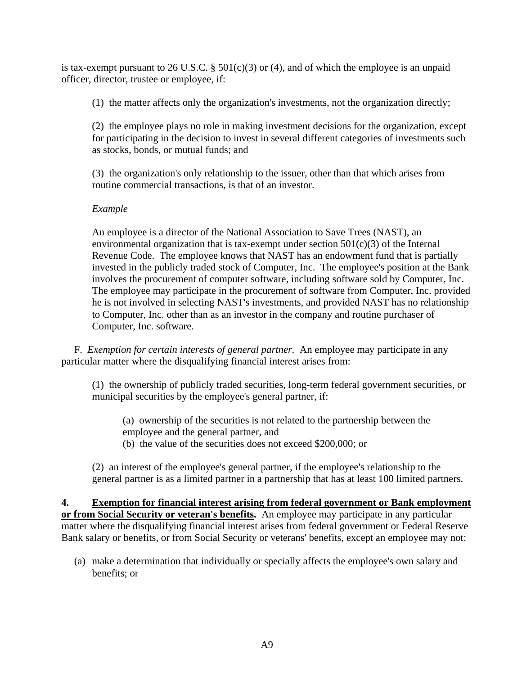is tax-exempt pursuant to 26 U.S.C.  $\S$  501(c)(3) or (4), and of which the employee is an unpaid officer, director, trustee or employee, if:

(1) the matter affects only the organization's investments, not the organization directly;

 (2) the employee plays no role in making investment decisions for the organization, except for participating in the decision to invest in several different categories of investments such as stocks, bonds, or mutual funds; and

(3) the organization's only relationship to the issuer, other than that which arises from routine commercial transactions, is that of an investor.

# *Example*

An employee is a director of the National Association to Save Trees (NAST), an environmental organization that is tax-exempt under section  $501(c)(3)$  of the Internal Revenue Code. The employee knows that NAST has an endowment fund that is partially invested in the publicly traded stock of Computer, Inc. The employee's position at the Bank involves the procurement of computer software, including software sold by Computer, Inc. The employee may participate in the procurement of software from Computer, Inc. provided he is not involved in selecting NAST's investments, and provided NAST has no relationship to Computer, Inc. other than as an investor in the company and routine purchaser of Computer, Inc. software.

 F. *Exemption for certain interests of general partner.* An employee may participate in any particular matter where the disqualifying financial interest arises from:

(1) the ownership of publicly traded securities, long-term federal government securities, or municipal securities by the employee's general partner, if:

(a) ownership of the securities is not related to the partnership between the employee and the general partner, and

(b) the value of the securities does not exceed \$200,000; or

(2) an interest of the employee's general partner, if the employee's relationship to the general partner is as a limited partner in a partnership that has at least 100 limited partners.

**4. Exemption for financial interest arising from federal government or Bank employment or from Social Security or veteran's benefits.** An employee may participate in any particular matter where the disqualifying financial interest arises from federal government or Federal Reserve Bank salary or benefits, or from Social Security or veterans' benefits, except an employee may not:

 (a) make a determination that individually or specially affects the employee's own salary and benefits; or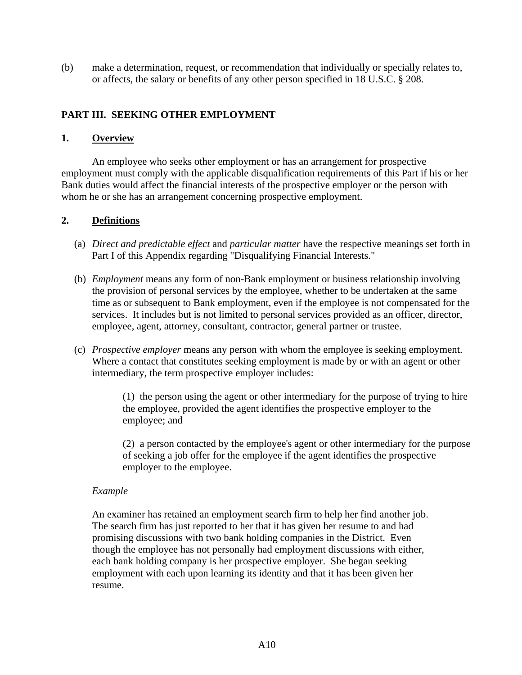(b) make a determination, request, or recommendation that individually or specially relates to, or affects, the salary or benefits of any other person specified in 18 U.S.C. § 208.

# **PART III. SEEKING OTHER EMPLOYMENT**

#### **1. Overview**

An employee who seeks other employment or has an arrangement for prospective employment must comply with the applicable disqualification requirements of this Part if his or her Bank duties would affect the financial interests of the prospective employer or the person with whom he or she has an arrangement concerning prospective employment.

### **2.****Definitions**

- (a) *Direct and predictable effect* and *particular matter* have the respective meanings set forth in Part I of this Appendix regarding "Disqualifying Financial Interests."
- (b) *Employment* means any form of non-Bank employment or business relationship involving the provision of personal services by the employee, whether to be undertaken at the same time as or subsequent to Bank employment, even if the employee is not compensated for the services. It includes but is not limited to personal services provided as an officer, director, employee, agent, attorney, consultant, contractor, general partner or trustee.
- (c) *Prospective employer* means any person with whom the employee is seeking employment. Where a contact that constitutes seeking employment is made by or with an agent or other intermediary, the term prospective employer includes:

(1) the person using the agent or other intermediary for the purpose of trying to hire the employee, provided the agent identifies the prospective employer to the employee; and

(2) a person contacted by the employee's agent or other intermediary for the purpose of seeking a job offer for the employee if the agent identifies the prospective employer to the employee.

#### *Example*

An examiner has retained an employment search firm to help her find another job. The search firm has just reported to her that it has given her resume to and had promising discussions with two bank holding companies in the District. Even though the employee has not personally had employment discussions with either, each bank holding company is her prospective employer. She began seeking employment with each upon learning its identity and that it has been given her resume.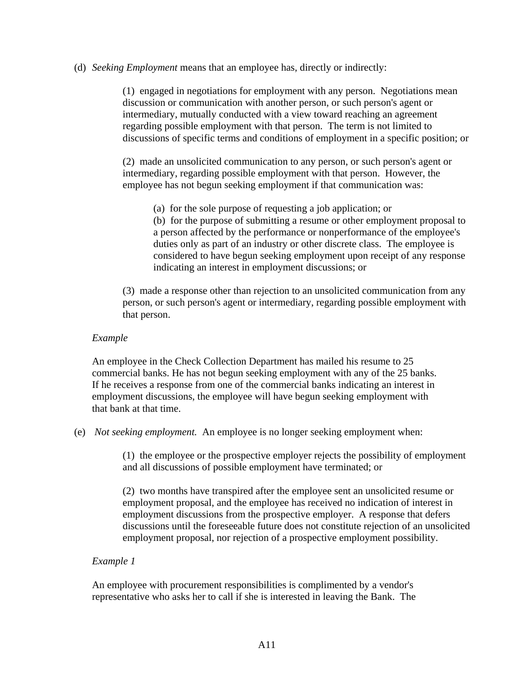(d) *Seeking Employment* means that an employee has, directly or indirectly:

(1) engaged in negotiations for employment with any person. Negotiations mean discussion or communication with another person, or such person's agent or intermediary, mutually conducted with a view toward reaching an agreement regarding possible employment with that person. The term is not limited to discussions of specific terms and conditions of employment in a specific position; or

(2) made an unsolicited communication to any person, or such person's agent or intermediary, regarding possible employment with that person. However, the employee has not begun seeking employment if that communication was:

(a) for the sole purpose of requesting a job application; or

(b) for the purpose of submitting a resume or other employment proposal to a person affected by the performance or nonperformance of the employee's duties only as part of an industry or other discrete class. The employee is considered to have begun seeking employment upon receipt of any response indicating an interest in employment discussions; or

(3) made a response other than rejection to an unsolicited communication from any person, or such person's agent or intermediary, regarding possible employment with that person.

#### *Example*

An employee in the Check Collection Department has mailed his resume to 25 commercial banks. He has not begun seeking employment with any of the 25 banks. If he receives a response from one of the commercial banks indicating an interest in employment discussions, the employee will have begun seeking employment with that bank at that time.

(e) *Not seeking employment.* An employee is no longer seeking employment when:

(1) the employee or the prospective employer rejects the possibility of employment and all discussions of possible employment have terminated; or

(2) two months have transpired after the employee sent an unsolicited resume or employment proposal, and the employee has received no indication of interest in employment discussions from the prospective employer. A response that defers discussions until the foreseeable future does not constitute rejection of an unsolicited employment proposal, nor rejection of a prospective employment possibility.

#### *Example 1*

An employee with procurement responsibilities is complimented by a vendor's representative who asks her to call if she is interested in leaving the Bank. The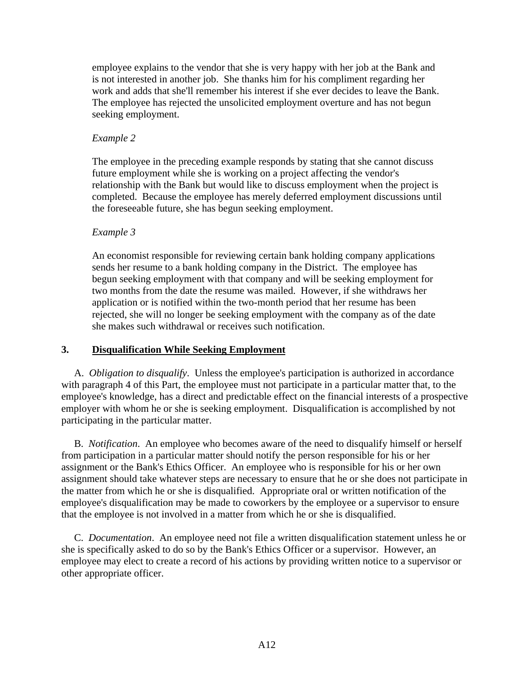employee explains to the vendor that she is very happy with her job at the Bank and is not interested in another job. She thanks him for his compliment regarding her work and adds that she'll remember his interest if she ever decides to leave the Bank. The employee has rejected the unsolicited employment overture and has not begun seeking employment.

### *Example 2*

The employee in the preceding example responds by stating that she cannot discuss future employment while she is working on a project affecting the vendor's relationship with the Bank but would like to discuss employment when the project is completed. Because the employee has merely deferred employment discussions until the foreseeable future, she has begun seeking employment.

### *Example 3*

An economist responsible for reviewing certain bank holding company applications sends her resume to a bank holding company in the District. The employee has begun seeking employment with that company and will be seeking employment for two months from the date the resume was mailed. However, if she withdraws her application or is notified within the two-month period that her resume has been rejected, she will no longer be seeking employment with the company as of the date she makes such withdrawal or receives such notification.

# **3. Disqualification While Seeking Employment**

 A. *Obligation to disqualify*. Unless the employee's participation is authorized in accordance with paragraph 4 of this Part, the employee must not participate in a particular matter that, to the employee's knowledge, has a direct and predictable effect on the financial interests of a prospective employer with whom he or she is seeking employment. Disqualification is accomplished by not participating in the particular matter.

 B. *Notification*. An employee who becomes aware of the need to disqualify himself or herself from participation in a particular matter should notify the person responsible for his or her assignment or the Bank's Ethics Officer. An employee who is responsible for his or her own assignment should take whatever steps are necessary to ensure that he or she does not participate in the matter from which he or she is disqualified. Appropriate oral or written notification of the employee's disqualification may be made to coworkers by the employee or a supervisor to ensure that the employee is not involved in a matter from which he or she is disqualified.

 C. *Documentation*. An employee need not file a written disqualification statement unless he or she is specifically asked to do so by the Bank's Ethics Officer or a supervisor. However, an employee may elect to create a record of his actions by providing written notice to a supervisor or other appropriate officer.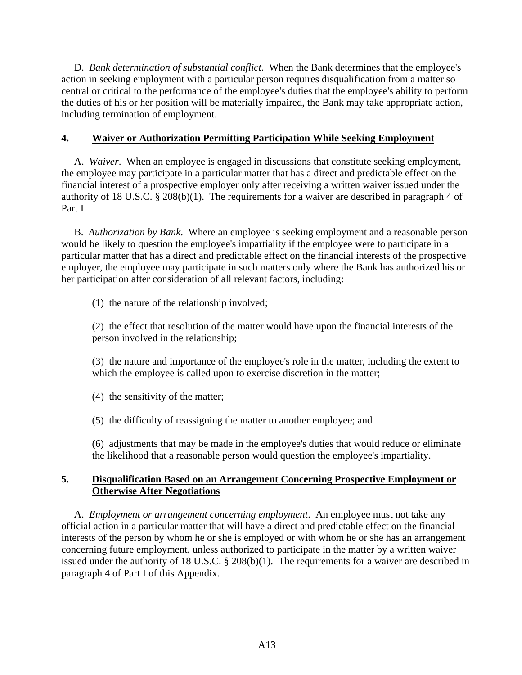D. *Bank determination of substantial conflict*. When the Bank determines that the employee's action in seeking employment with a particular person requires disqualification from a matter so central or critical to the performance of the employee's duties that the employee's ability to perform the duties of his or her position will be materially impaired, the Bank may take appropriate action, including termination of employment.

# **4. Waiver or Authorization Permitting Participation While Seeking Employment**

 A. *Waiver*. When an employee is engaged in discussions that constitute seeking employment, the employee may participate in a particular matter that has a direct and predictable effect on the financial interest of a prospective employer only after receiving a written waiver issued under the authority of 18 U.S.C. § 208(b)(1). The requirements for a waiver are described in paragraph 4 of Part I.

 B. *Authorization by Bank*. Where an employee is seeking employment and a reasonable person would be likely to question the employee's impartiality if the employee were to participate in a particular matter that has a direct and predictable effect on the financial interests of the prospective employer, the employee may participate in such matters only where the Bank has authorized his or her participation after consideration of all relevant factors, including:

(1) the nature of the relationship involved;

(2) the effect that resolution of the matter would have upon the financial interests of the person involved in the relationship;

(3) the nature and importance of the employee's role in the matter, including the extent to which the employee is called upon to exercise discretion in the matter;

(4) the sensitivity of the matter;

(5) the difficulty of reassigning the matter to another employee; and

(6) adjustments that may be made in the employee's duties that would reduce or eliminate the likelihood that a reasonable person would question the employee's impartiality.

# **5. Disqualification Based on an Arrangement Concerning Prospective Employment or Otherwise After Negotiations**

 A. *Employment or arrangement concerning employment*. An employee must not take any official action in a particular matter that will have a direct and predictable effect on the financial interests of the person by whom he or she is employed or with whom he or she has an arrangement concerning future employment, unless authorized to participate in the matter by a written waiver issued under the authority of 18 U.S.C. § 208(b)(1). The requirements for a waiver are described in paragraph 4 of Part I of this Appendix.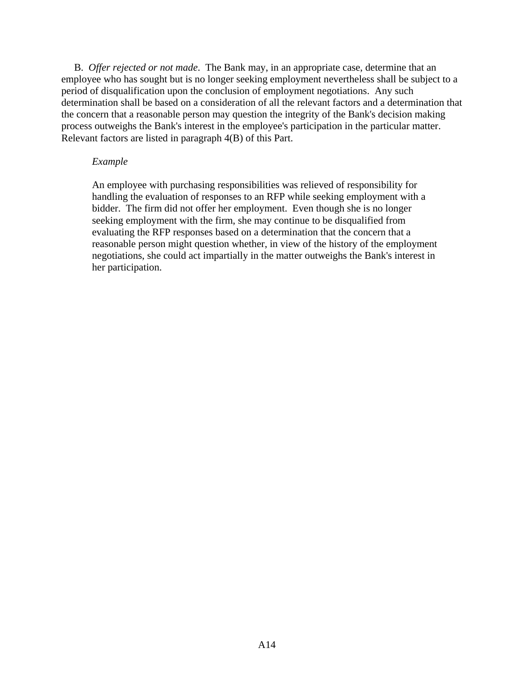B. *Offer rejected or not made*. The Bank may, in an appropriate case, determine that an employee who has sought but is no longer seeking employment nevertheless shall be subject to a period of disqualification upon the conclusion of employment negotiations. Any such determination shall be based on a consideration of all the relevant factors and a determination that the concern that a reasonable person may question the integrity of the Bank's decision making process outweighs the Bank's interest in the employee's participation in the particular matter. Relevant factors are listed in paragraph 4(B) of this Part.

#### *Example*

An employee with purchasing responsibilities was relieved of responsibility for handling the evaluation of responses to an RFP while seeking employment with a bidder. The firm did not offer her employment. Even though she is no longer seeking employment with the firm, she may continue to be disqualified from evaluating the RFP responses based on a determination that the concern that a reasonable person might question whether, in view of the history of the employment negotiations, she could act impartially in the matter outweighs the Bank's interest in her participation.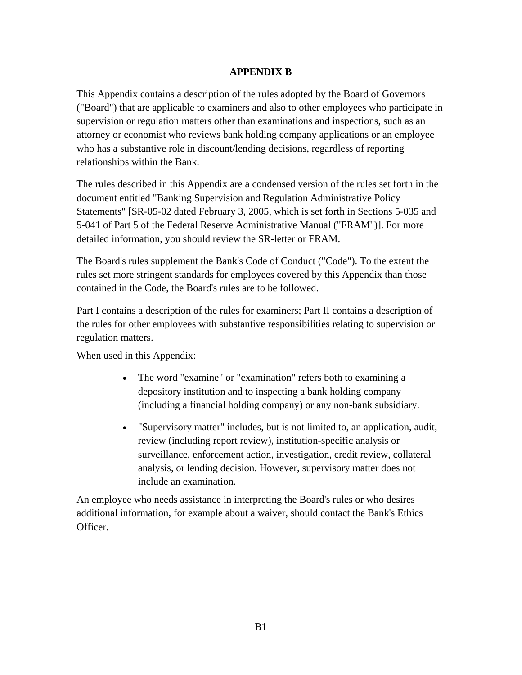# **APPENDIX B**

This Appendix contains a description of the rules adopted by the Board of Governors ("Board") that are applicable to examiners and also to other employees who participate in supervision or regulation matters other than examinations and inspections, such as an attorney or economist who reviews bank holding company applications or an employee who has a substantive role in discount/lending decisions, regardless of reporting relationships within the Bank.

The rules described in this Appendix are a condensed version of the rules set forth in the document entitled "Banking Supervision and Regulation Administrative Policy Statements" [SR-05-02 dated February 3, 2005, which is set forth in Sections 5-035 and 5-041 of Part 5 of the Federal Reserve Administrative Manual ("FRAM")]. For more detailed information, you should review the SR-letter or FRAM.

The Board's rules supplement the Bank's Code of Conduct ("Code"). To the extent the rules set more stringent standards for employees covered by this Appendix than those contained in the Code, the Board's rules are to be followed.

Part I contains a description of the rules for examiners; Part II contains a description of the rules for other employees with substantive responsibilities relating to supervision or regulation matters.

When used in this Appendix:

- The word "examine" or "examination" refers both to examining a depository institution and to inspecting a bank holding company (including a financial holding company) or any non-bank subsidiary.
- "Supervisory matter" includes, but is not limited to, an application, audit, review (including report review), institution-specific analysis or surveillance, enforcement action, investigation, credit review, collateral analysis, or lending decision. However, supervisory matter does not include an examination.

An employee who needs assistance in interpreting the Board's rules or who desires additional information, for example about a waiver, should contact the Bank's Ethics Officer.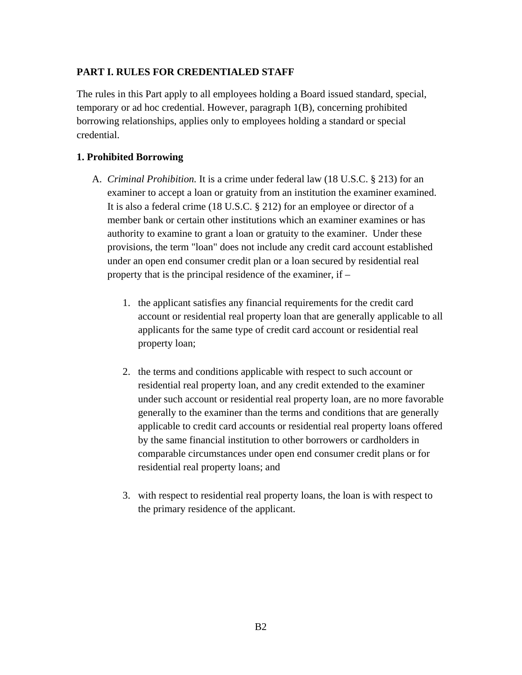# **PART I. RULES FOR CREDENTIALED STAFF**

The rules in this Part apply to all employees holding a Board issued standard, special, temporary or ad hoc credential. However, paragraph 1(B), concerning prohibited borrowing relationships, applies only to employees holding a standard or special credential.

# **1. Prohibited Borrowing**

- A. *Criminal Prohibition.* It is a crime under federal law (18 U.S.C. § 213) for an examiner to accept a loan or gratuity from an institution the examiner examined. It is also a federal crime (18 U.S.C. § 212) for an employee or director of a member bank or certain other institutions which an examiner examines or has authority to examine to grant a loan or gratuity to the examiner. Under these provisions, the term "loan" does not include any credit card account established under an open end consumer credit plan or a loan secured by residential real property that is the principal residence of the examiner, if –
	- 1. the applicant satisfies any financial requirements for the credit card account or residential real property loan that are generally applicable to all applicants for the same type of credit card account or residential real property loan;
	- 2. the terms and conditions applicable with respect to such account or residential real property loan, and any credit extended to the examiner under such account or residential real property loan, are no more favorable generally to the examiner than the terms and conditions that are generally applicable to credit card accounts or residential real property loans offered by the same financial institution to other borrowers or cardholders in comparable circumstances under open end consumer credit plans or for residential real property loans; and
	- 3. with respect to residential real property loans, the loan is with respect to the primary residence of the applicant.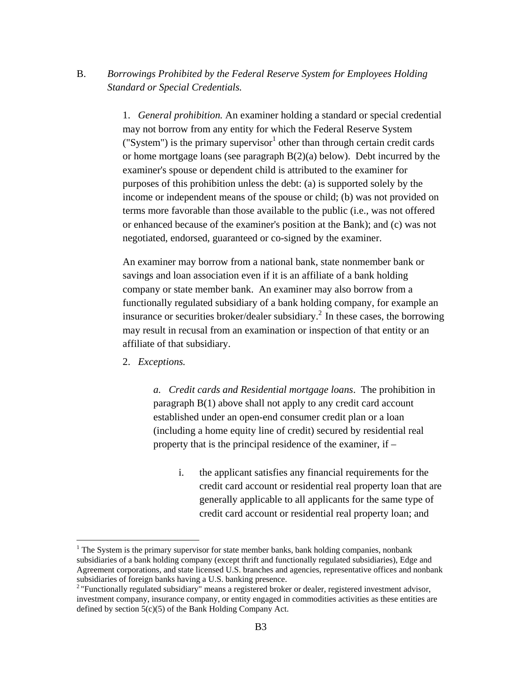# B. *Borrowings Prohibited by the Federal Reserve System for Employees Holding Standard or Special Credentials.*

1. *General prohibition.* An examiner holding a standard or special credential may not borrow from any entity for which the Federal Reserve System ("System") is the primary supervisor<sup>1</sup> other than through certain credit cards or home mortgage loans (see paragraph  $B(2)(a)$  below). Debt incurred by the examiner's spouse or dependent child is attributed to the examiner for purposes of this prohibition unless the debt: (a) is supported solely by the income or independent means of the spouse or child; (b) was not provided on terms more favorable than those available to the public (i.e., was not offered or enhanced because of the examiner's position at the Bank); and (c) was not negotiated, endorsed, guaranteed or co-signed by the examiner.

An examiner may borrow from a national bank, state nonmember bank or savings and loan association even if it is an affiliate of a bank holding company or state member bank. An examiner may also borrow from a functionally regulated subsidiary of a bank holding company, for example an insurance or securities broker/dealer subsidiary.<sup>2</sup> In these cases, the borrowing may result in recusal from an examination or inspection of that entity or an affiliate of that subsidiary.

2. *Exceptions.*

 $\overline{a}$ 

*a. Credit cards and Residential mortgage loans*. The prohibition in paragraph B(1) above shall not apply to any credit card account established under an open-end consumer credit plan or a loan (including a home equity line of credit) secured by residential real property that is the principal residence of the examiner, if –

i. the applicant satisfies any financial requirements for the credit card account or residential real property loan that are generally applicable to all applicants for the same type of credit card account or residential real property loan; and

<sup>&</sup>lt;sup>1</sup> The System is the primary supervisor for state member banks, bank holding companies, nonbank subsidiaries of a bank holding company (except thrift and functionally regulated subsidiaries), Edge and Agreement corporations, and state licensed U.S. branches and agencies, representative offices and nonbank subsidiaries of foreign banks having a U.S. banking presence.

<sup>&</sup>lt;sup>2</sup> "Functionally regulated subsidiary" means a registered broker or dealer, registered investment advisor, investment company, insurance company, or entity engaged in commodities activities as these entities are defined by section 5(c)(5) of the Bank Holding Company Act.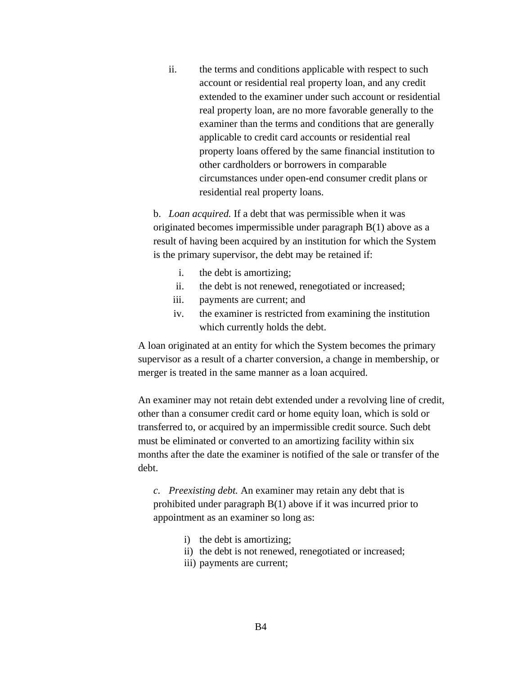ii. the terms and conditions applicable with respect to such account or residential real property loan, and any credit extended to the examiner under such account or residential real property loan, are no more favorable generally to the examiner than the terms and conditions that are generally applicable to credit card accounts or residential real property loans offered by the same financial institution to other cardholders or borrowers in comparable circumstances under open-end consumer credit plans or residential real property loans.

b. *Loan acquired.* If a debt that was permissible when it was originated becomes impermissible under paragraph B(1) above as a result of having been acquired by an institution for which the System is the primary supervisor, the debt may be retained if:

- i. the debt is amortizing;
- ii. the debt is not renewed, renegotiated or increased;
- iii. payments are current; and
- iv. the examiner is restricted from examining the institution which currently holds the debt.

A loan originated at an entity for which the System becomes the primary supervisor as a result of a charter conversion, a change in membership, or merger is treated in the same manner as a loan acquired.

An examiner may not retain debt extended under a revolving line of credit, other than a consumer credit card or home equity loan, which is sold or transferred to, or acquired by an impermissible credit source. Such debt must be eliminated or converted to an amortizing facility within six months after the date the examiner is notified of the sale or transfer of the debt.

*c. Preexisting debt.* An examiner may retain any debt that is prohibited under paragraph B(1) above if it was incurred prior to appointment as an examiner so long as:

- i) the debt is amortizing;
- ii) the debt is not renewed, renegotiated or increased;
- iii) payments are current;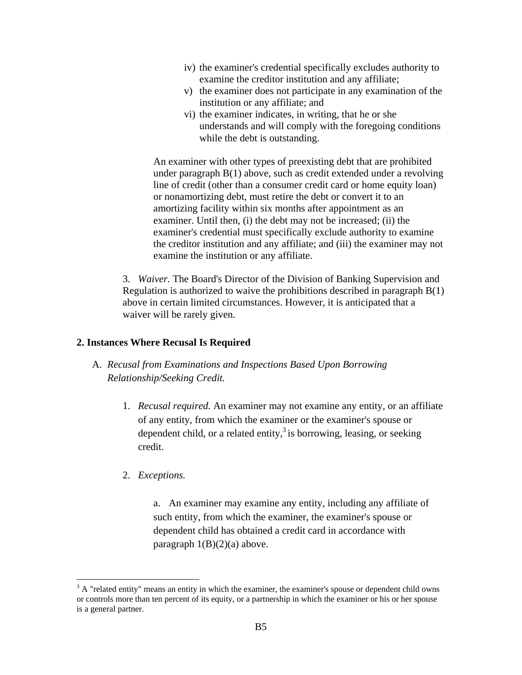- iv) the examiner's credential specifically excludes authority to examine the creditor institution and any affiliate;
- v) the examiner does not participate in any examination of the institution or any affiliate; and
- vi) the examiner indicates, in writing, that he or she understands and will comply with the foregoing conditions while the debt is outstanding.

An examiner with other types of preexisting debt that are prohibited under paragraph B(1) above, such as credit extended under a revolving line of credit (other than a consumer credit card or home equity loan) or nonamortizing debt, must retire the debt or convert it to an amortizing facility within six months after appointment as an examiner. Until then, (i) the debt may not be increased; (ii) the examiner's credential must specifically exclude authority to examine the creditor institution and any affiliate; and (iii) the examiner may not examine the institution or any affiliate.

3. *Waiver.* The Board's Director of the Division of Banking Supervision and Regulation is authorized to waive the prohibitions described in paragraph B(1) above in certain limited circumstances. However, it is anticipated that a waiver will be rarely given.

#### **2. Instances Where Recusal Is Required**

- A. *Recusal from Examinations and Inspections Based Upon Borrowing Relationship/Seeking Credit.* 
	- 1. *Recusal required.* An examiner may not examine any entity, or an affiliate of any entity, from which the examiner or the examiner's spouse or dependent child, or a related entity,<sup>3</sup> is borrowing, leasing, or seeking credit.
	- 2. *Exceptions.*

1

a. An examiner may examine any entity, including any affiliate of such entity, from which the examiner, the examiner's spouse or dependent child has obtained a credit card in accordance with paragraph  $1(B)(2)(a)$  above.

 $3$  A "related entity" means an entity in which the examiner, the examiner's spouse or dependent child owns or controls more than ten percent of its equity, or a partnership in which the examiner or his or her spouse is a general partner.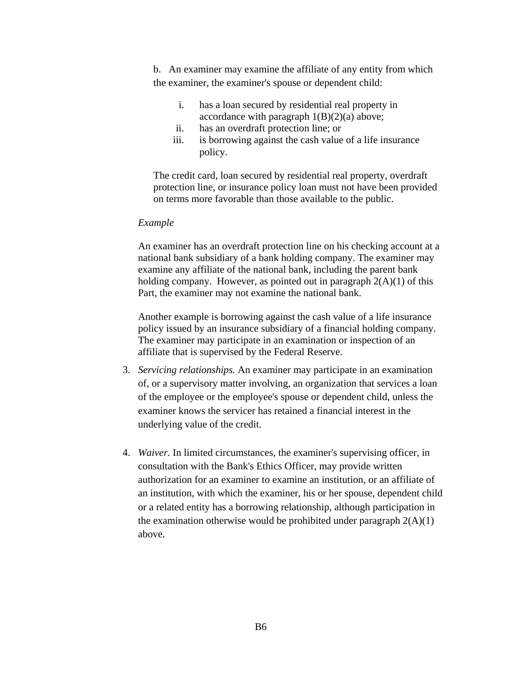b. An examiner may examine the affiliate of any entity from which the examiner, the examiner's spouse or dependent child:

- i. has a loan secured by residential real property in accordance with paragraph  $1(B)(2)(a)$  above;
- ii. has an overdraft protection line; or
- iii. is borrowing against the cash value of a life insurance policy.

The credit card, loan secured by residential real property, overdraft protection line, or insurance policy loan must not have been provided on terms more favorable than those available to the public.

#### *Example*

An examiner has an overdraft protection line on his checking account at a national bank subsidiary of a bank holding company. The examiner may examine any affiliate of the national bank, including the parent bank holding company. However, as pointed out in paragraph  $2(A)(1)$  of this Part, the examiner may not examine the national bank.

Another example is borrowing against the cash value of a life insurance policy issued by an insurance subsidiary of a financial holding company. The examiner may participate in an examination or inspection of an affiliate that is supervised by the Federal Reserve.

- 3. *Servicing relationships.* An examiner may participate in an examination of, or a supervisory matter involving, an organization that services a loan of the employee or the employee's spouse or dependent child, unless the examiner knows the servicer has retained a financial interest in the underlying value of the credit.
- 4. *Waiver.* In limited circumstances, the examiner's supervising officer, in consultation with the Bank's Ethics Officer, may provide written authorization for an examiner to examine an institution, or an affiliate of an institution, with which the examiner, his or her spouse, dependent child or a related entity has a borrowing relationship, although participation in the examination otherwise would be prohibited under paragraph  $2(A)(1)$ above.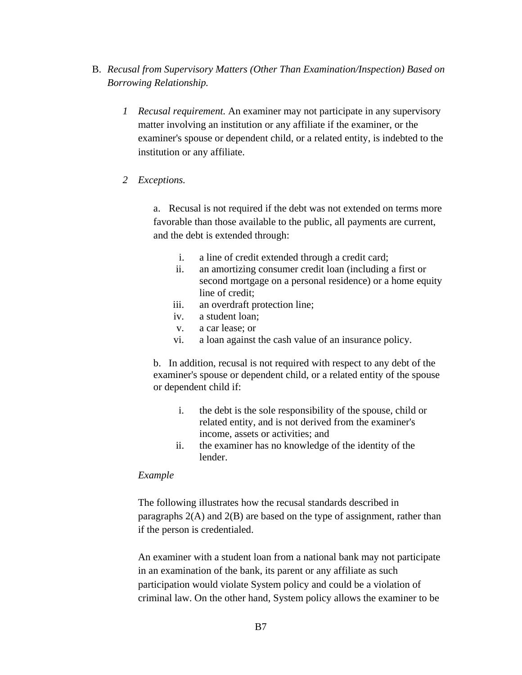- B. *Recusal from Supervisory Matters (Other Than Examination/Inspection) Based on Borrowing Relationship.*
	- *1 Recusal requirement.* An examiner may not participate in any supervisory matter involving an institution or any affiliate if the examiner, or the examiner's spouse or dependent child, or a related entity, is indebted to the institution or any affiliate.
	- *2 Exceptions.*

a. Recusal is not required if the debt was not extended on terms more favorable than those available to the public, all payments are current, and the debt is extended through:

- i. a line of credit extended through a credit card;
- ii. an amortizing consumer credit loan (including a first or second mortgage on a personal residence) or a home equity line of credit;
- iii. an overdraft protection line;
- iv. a student loan;
- v. a car lease; or
- vi. a loan against the cash value of an insurance policy.

b. In addition, recusal is not required with respect to any debt of the examiner's spouse or dependent child, or a related entity of the spouse or dependent child if:

- i. the debt is the sole responsibility of the spouse, child or related entity, and is not derived from the examiner's income, assets or activities; and
- ii. the examiner has no knowledge of the identity of the lender.

#### *Example*

The following illustrates how the recusal standards described in paragraphs 2(A) and 2(B) are based on the type of assignment, rather than if the person is credentialed.

An examiner with a student loan from a national bank may not participate in an examination of the bank, its parent or any affiliate as such participation would violate System policy and could be a violation of criminal law. On the other hand, System policy allows the examiner to be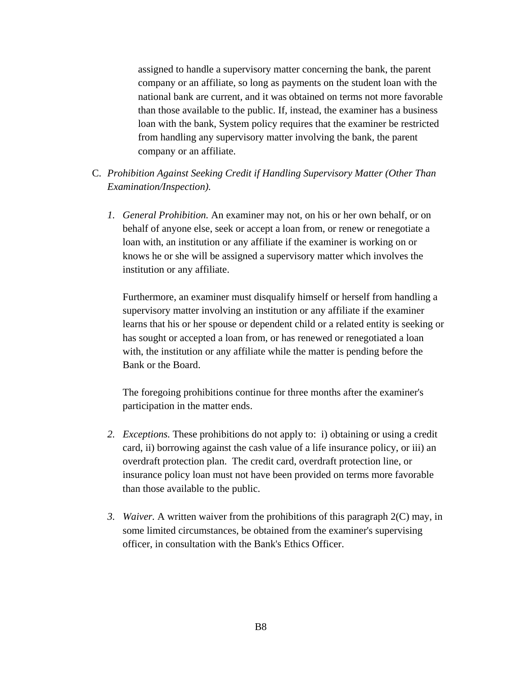assigned to handle a supervisory matter concerning the bank, the parent company or an affiliate, so long as payments on the student loan with the national bank are current, and it was obtained on terms not more favorable than those available to the public. If, instead, the examiner has a business loan with the bank, System policy requires that the examiner be restricted from handling any supervisory matter involving the bank, the parent company or an affiliate.

- C. *Prohibition Against Seeking Credit if Handling Supervisory Matter (Other Than Examination/Inspection).*
	- *1. General Prohibition.* An examiner may not, on his or her own behalf, or on behalf of anyone else, seek or accept a loan from, or renew or renegotiate a loan with, an institution or any affiliate if the examiner is working on or knows he or she will be assigned a supervisory matter which involves the institution or any affiliate.

Furthermore, an examiner must disqualify himself or herself from handling a supervisory matter involving an institution or any affiliate if the examiner learns that his or her spouse or dependent child or a related entity is seeking or has sought or accepted a loan from, or has renewed or renegotiated a loan with, the institution or any affiliate while the matter is pending before the Bank or the Board.

The foregoing prohibitions continue for three months after the examiner's participation in the matter ends.

- *2. Exceptions.* These prohibitions do not apply to: i) obtaining or using a credit card, ii) borrowing against the cash value of a life insurance policy, or iii) an overdraft protection plan. The credit card, overdraft protection line, or insurance policy loan must not have been provided on terms more favorable than those available to the public.
- *3. Waiver.* A written waiver from the prohibitions of this paragraph 2(C) may, in some limited circumstances, be obtained from the examiner's supervising officer, in consultation with the Bank's Ethics Officer.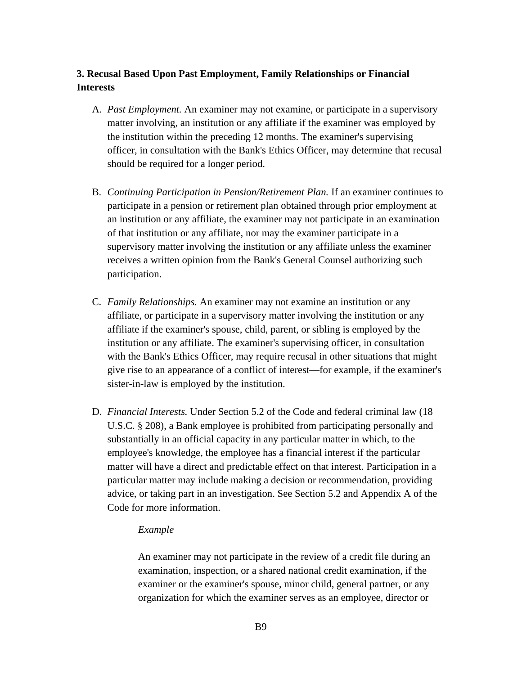# **3. Recusal Based Upon Past Employment, Family Relationships or Financial Interests**

- A. *Past Employment.* An examiner may not examine, or participate in a supervisory matter involving, an institution or any affiliate if the examiner was employed by the institution within the preceding 12 months. The examiner's supervising officer, in consultation with the Bank's Ethics Officer, may determine that recusal should be required for a longer period.
- B. *Continuing Participation in Pension/Retirement Plan.* If an examiner continues to participate in a pension or retirement plan obtained through prior employment at an institution or any affiliate, the examiner may not participate in an examination of that institution or any affiliate, nor may the examiner participate in a supervisory matter involving the institution or any affiliate unless the examiner receives a written opinion from the Bank's General Counsel authorizing such participation.
- C. *Family Relationships.* An examiner may not examine an institution or any affiliate, or participate in a supervisory matter involving the institution or any affiliate if the examiner's spouse, child, parent, or sibling is employed by the institution or any affiliate. The examiner's supervising officer, in consultation with the Bank's Ethics Officer, may require recusal in other situations that might give rise to an appearance of a conflict of interest—for example, if the examiner's sister-in-law is employed by the institution.
- D. *Financial Interests.* Under Section 5.2 of the Code and federal criminal law (18 U.S.C. § 208), a Bank employee is prohibited from participating personally and substantially in an official capacity in any particular matter in which, to the employee's knowledge, the employee has a financial interest if the particular matter will have a direct and predictable effect on that interest. Participation in a particular matter may include making a decision or recommendation, providing advice, or taking part in an investigation. See Section 5.2 and Appendix A of the Code for more information.

### *Example*

An examiner may not participate in the review of a credit file during an examination, inspection, or a shared national credit examination, if the examiner or the examiner's spouse, minor child, general partner, or any organization for which the examiner serves as an employee, director or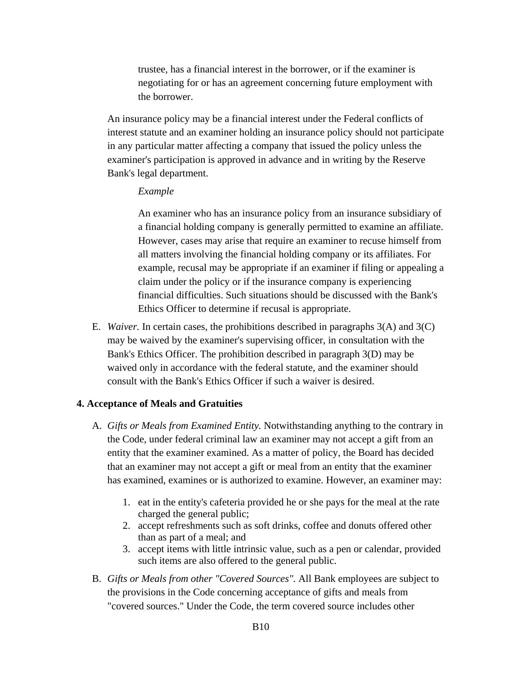trustee, has a financial interest in the borrower, or if the examiner is negotiating for or has an agreement concerning future employment with the borrower.

 An insurance policy may be a financial interest under the Federal conflicts of interest statute and an examiner holding an insurance policy should not participate in any particular matter affecting a company that issued the policy unless the examiner's participation is approved in advance and in writing by the Reserve Bank's legal department.

#### *Example*

An examiner who has an insurance policy from an insurance subsidiary of a financial holding company is generally permitted to examine an affiliate. However, cases may arise that require an examiner to recuse himself from all matters involving the financial holding company or its affiliates. For example, recusal may be appropriate if an examiner if filing or appealing a claim under the policy or if the insurance company is experiencing financial difficulties. Such situations should be discussed with the Bank's Ethics Officer to determine if recusal is appropriate.

E. *Waiver.* In certain cases, the prohibitions described in paragraphs 3(A) and 3(C) may be waived by the examiner's supervising officer, in consultation with the Bank's Ethics Officer. The prohibition described in paragraph 3(D) may be waived only in accordance with the federal statute, and the examiner should consult with the Bank's Ethics Officer if such a waiver is desired.

#### **4. Acceptance of Meals and Gratuities**

- A. *Gifts or Meals from Examined Entity.* Notwithstanding anything to the contrary in the Code, under federal criminal law an examiner may not accept a gift from an entity that the examiner examined. As a matter of policy, the Board has decided that an examiner may not accept a gift or meal from an entity that the examiner has examined, examines or is authorized to examine. However, an examiner may:
	- 1. eat in the entity's cafeteria provided he or she pays for the meal at the rate charged the general public;
	- 2. accept refreshments such as soft drinks, coffee and donuts offered other than as part of a meal; and
	- 3. accept items with little intrinsic value, such as a pen or calendar, provided such items are also offered to the general public.
- B. *Gifts or Meals from other "Covered Sources".* All Bank employees are subject to the provisions in the Code concerning acceptance of gifts and meals from "covered sources." Under the Code, the term covered source includes other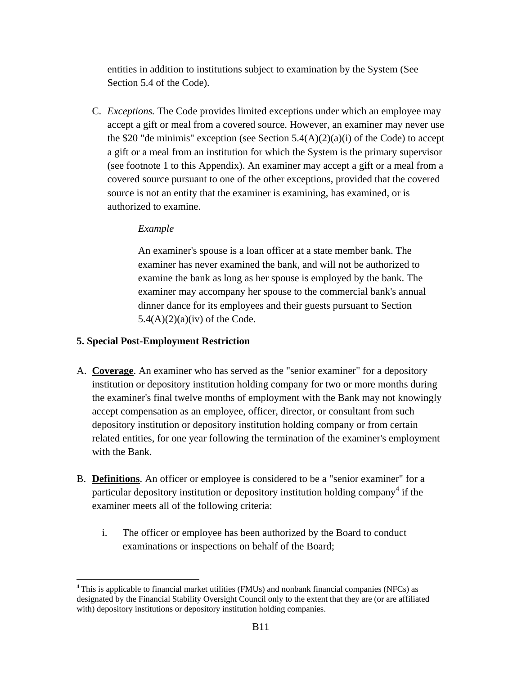entities in addition to institutions subject to examination by the System (See Section 5.4 of the Code).

C. *Exceptions.* The Code provides limited exceptions under which an employee may accept a gift or meal from a covered source. However, an examiner may never use the \$20 "de minimis" exception (see Section  $5.4(A)(2)(a)(i)$  of the Code) to accept a gift or a meal from an institution for which the System is the primary supervisor (see footnote 1 to this Appendix). An examiner may accept a gift or a meal from a covered source pursuant to one of the other exceptions, provided that the covered source is not an entity that the examiner is examining, has examined, or is authorized to examine.

#### *Example*

An examiner's spouse is a loan officer at a state member bank. The examiner has never examined the bank, and will not be authorized to examine the bank as long as her spouse is employed by the bank. The examiner may accompany her spouse to the commercial bank's annual dinner dance for its employees and their guests pursuant to Section  $5.4(A)(2)(a)(iv)$  of the Code.

#### **5. Special Post-Employment Restriction**

 $\overline{a}$ 

- A. **Coverage**. An examiner who has served as the "senior examiner" for a depository institution or depository institution holding company for two or more months during the examiner's final twelve months of employment with the Bank may not knowingly accept compensation as an employee, officer, director, or consultant from such depository institution or depository institution holding company or from certain related entities, for one year following the termination of the examiner's employment with the Bank.
- B. **Definitions**. An officer or employee is considered to be a "senior examiner" for a particular depository institution or depository institution holding company<sup>4</sup> if the examiner meets all of the following criteria:
	- i. The officer or employee has been authorized by the Board to conduct examinations or inspections on behalf of the Board;

<sup>&</sup>lt;sup>4</sup> This is applicable to financial market utilities (FMUs) and nonbank financial companies (NFCs) as designated by the Financial Stability Oversight Council only to the extent that they are (or are affiliated with) depository institutions or depository institution holding companies.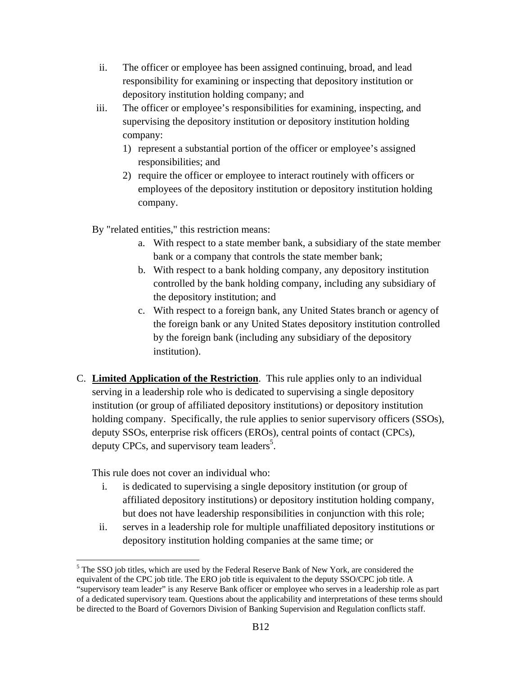- ii. The officer or employee has been assigned continuing, broad, and lead responsibility for examining or inspecting that depository institution or depository institution holding company; and
- iii. The officer or employee's responsibilities for examining, inspecting, and supervising the depository institution or depository institution holding company:
	- 1) represent a substantial portion of the officer or employee's assigned responsibilities; and
	- 2) require the officer or employee to interact routinely with officers or employees of the depository institution or depository institution holding company.

By "related entities," this restriction means:

- a. With respect to a state member bank, a subsidiary of the state member bank or a company that controls the state member bank;
- b. With respect to a bank holding company, any depository institution controlled by the bank holding company, including any subsidiary of the depository institution; and
- c. With respect to a foreign bank, any United States branch or agency of the foreign bank or any United States depository institution controlled by the foreign bank (including any subsidiary of the depository institution).
- C. **Limited Application of the Restriction**. This rule applies only to an individual serving in a leadership role who is dedicated to supervising a single depository institution (or group of affiliated depository institutions) or depository institution holding company. Specifically, the rule applies to senior supervisory officers (SSOs), deputy SSOs, enterprise risk officers (EROs), central points of contact (CPCs), deputy CPCs, and supervisory team leaders<sup>5</sup>.

This rule does not cover an individual who:

 $\overline{a}$ 

- i. is dedicated to supervising a single depository institution (or group of affiliated depository institutions) or depository institution holding company, but does not have leadership responsibilities in conjunction with this role;
- ii. serves in a leadership role for multiple unaffiliated depository institutions or depository institution holding companies at the same time; or

<sup>&</sup>lt;sup>5</sup> The SSO job titles, which are used by the Federal Reserve Bank of New York, are considered the equivalent of the CPC job title. The ERO job title is equivalent to the deputy SSO/CPC job title. A "supervisory team leader" is any Reserve Bank officer or employee who serves in a leadership role as part of a dedicated supervisory team. Questions about the applicability and interpretations of these terms should be directed to the Board of Governors Division of Banking Supervision and Regulation conflicts staff.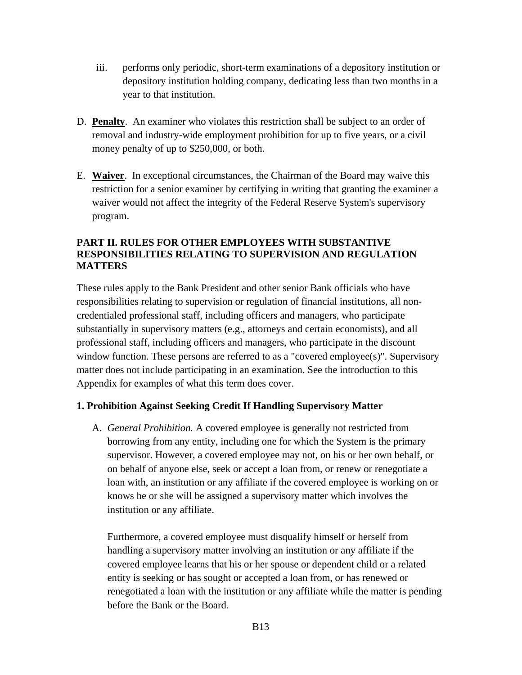- iii. performs only periodic, short-term examinations of a depository institution or depository institution holding company, dedicating less than two months in a year to that institution.
- D. **Penalty**. An examiner who violates this restriction shall be subject to an order of removal and industry-wide employment prohibition for up to five years, or a civil money penalty of up to \$250,000, or both.
- E. **Waiver**. In exceptional circumstances, the Chairman of the Board may waive this restriction for a senior examiner by certifying in writing that granting the examiner a waiver would not affect the integrity of the Federal Reserve System's supervisory program.

# **PART II. RULES FOR OTHER EMPLOYEES WITH SUBSTANTIVE RESPONSIBILITIES RELATING TO SUPERVISION AND REGULATION MATTERS**

These rules apply to the Bank President and other senior Bank officials who have responsibilities relating to supervision or regulation of financial institutions, all noncredentialed professional staff, including officers and managers, who participate substantially in supervisory matters (e.g., attorneys and certain economists), and all professional staff, including officers and managers, who participate in the discount window function. These persons are referred to as a "covered employee(s)". Supervisory matter does not include participating in an examination. See the introduction to this Appendix for examples of what this term does cover.

# **1. Prohibition Against Seeking Credit If Handling Supervisory Matter**

A. *General Prohibition.* A covered employee is generally not restricted from borrowing from any entity, including one for which the System is the primary supervisor. However, a covered employee may not, on his or her own behalf, or on behalf of anyone else, seek or accept a loan from, or renew or renegotiate a loan with, an institution or any affiliate if the covered employee is working on or knows he or she will be assigned a supervisory matter which involves the institution or any affiliate.

Furthermore, a covered employee must disqualify himself or herself from handling a supervisory matter involving an institution or any affiliate if the covered employee learns that his or her spouse or dependent child or a related entity is seeking or has sought or accepted a loan from, or has renewed or renegotiated a loan with the institution or any affiliate while the matter is pending before the Bank or the Board.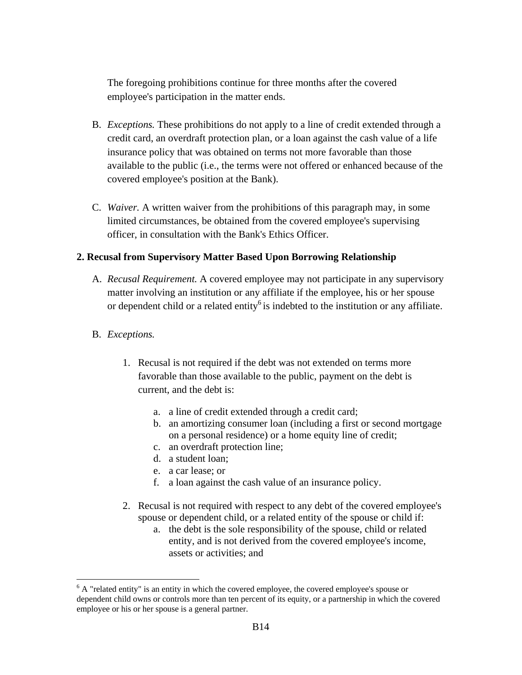The foregoing prohibitions continue for three months after the covered employee's participation in the matter ends.

- B. *Exceptions.* These prohibitions do not apply to a line of credit extended through a credit card, an overdraft protection plan, or a loan against the cash value of a life insurance policy that was obtained on terms not more favorable than those available to the public (i.e., the terms were not offered or enhanced because of the covered employee's position at the Bank).
- C. *Waiver.* A written waiver from the prohibitions of this paragraph may, in some limited circumstances, be obtained from the covered employee's supervising officer, in consultation with the Bank's Ethics Officer.

# **2. Recusal from Supervisory Matter Based Upon Borrowing Relationship**

- A. *Recusal Requirement.* A covered employee may not participate in any supervisory matter involving an institution or any affiliate if the employee, his or her spouse or dependent child or a related entity<sup>6</sup> is indebted to the institution or any affiliate.
- B. *Exceptions.*

1

- 1. Recusal is not required if the debt was not extended on terms more favorable than those available to the public, payment on the debt is current, and the debt is:
	- a. a line of credit extended through a credit card;
	- b. an amortizing consumer loan (including a first or second mortgage on a personal residence) or a home equity line of credit;
	- c. an overdraft protection line;
	- d. a student loan;
	- e. a car lease; or
	- f. a loan against the cash value of an insurance policy.
- 2. Recusal is not required with respect to any debt of the covered employee's spouse or dependent child, or a related entity of the spouse or child if:
	- a. the debt is the sole responsibility of the spouse, child or related entity, and is not derived from the covered employee's income, assets or activities; and

<sup>&</sup>lt;sup>6</sup> A "related entity" is an entity in which the covered employee, the covered employee's spouse or dependent child owns or controls more than ten percent of its equity, or a partnership in which the covered employee or his or her spouse is a general partner.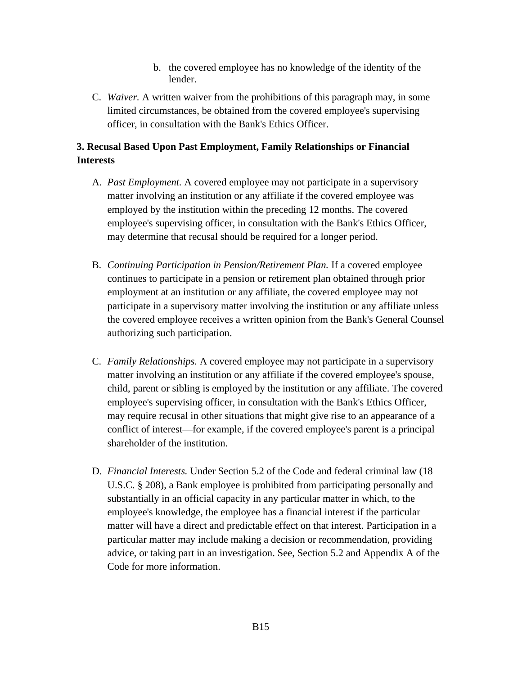- b. the covered employee has no knowledge of the identity of the lender.
- C. *Waiver.* A written waiver from the prohibitions of this paragraph may, in some limited circumstances, be obtained from the covered employee's supervising officer, in consultation with the Bank's Ethics Officer.

# **3. Recusal Based Upon Past Employment, Family Relationships or Financial Interests**

- A. *Past Employment.* A covered employee may not participate in a supervisory matter involving an institution or any affiliate if the covered employee was employed by the institution within the preceding 12 months. The covered employee's supervising officer, in consultation with the Bank's Ethics Officer, may determine that recusal should be required for a longer period.
- B. *Continuing Participation in Pension/Retirement Plan.* If a covered employee continues to participate in a pension or retirement plan obtained through prior employment at an institution or any affiliate, the covered employee may not participate in a supervisory matter involving the institution or any affiliate unless the covered employee receives a written opinion from the Bank's General Counsel authorizing such participation.
- C. *Family Relationships.* A covered employee may not participate in a supervisory matter involving an institution or any affiliate if the covered employee's spouse, child, parent or sibling is employed by the institution or any affiliate. The covered employee's supervising officer, in consultation with the Bank's Ethics Officer, may require recusal in other situations that might give rise to an appearance of a conflict of interest—for example, if the covered employee's parent is a principal shareholder of the institution.
- D. *Financial Interests.* Under Section 5.2 of the Code and federal criminal law (18 U.S.C. § 208), a Bank employee is prohibited from participating personally and substantially in an official capacity in any particular matter in which, to the employee's knowledge, the employee has a financial interest if the particular matter will have a direct and predictable effect on that interest. Participation in a particular matter may include making a decision or recommendation, providing advice, or taking part in an investigation. See, Section 5.2 and Appendix A of the Code for more information.